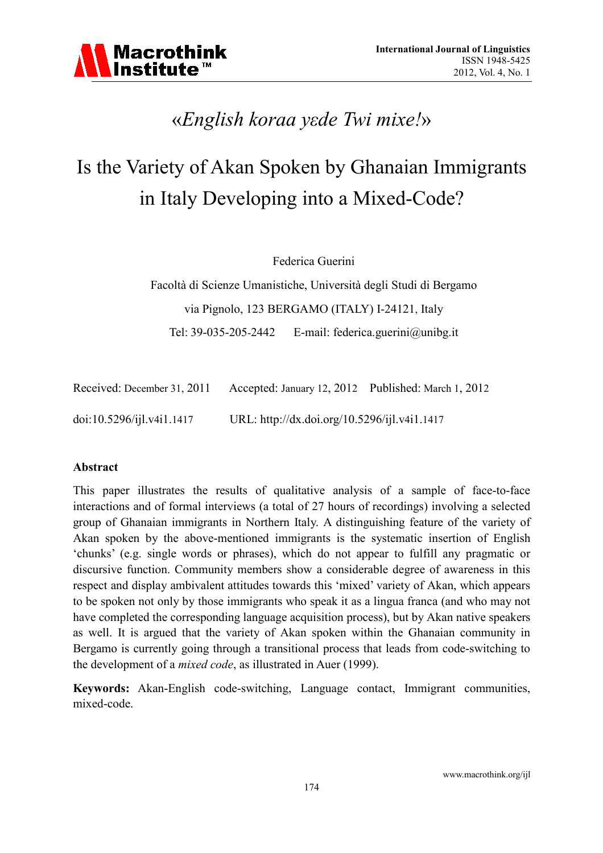## «*English koraa yεde Twi mixe!*»

## Is the Variety of Akan Spoken by Ghanaian Immigrants in Italy Developing into a Mixed-Code?

Federica Guerini

Facoltà di Scienze Umanistiche, Università degli Studi di Bergamo via Pignolo, 123 BERGAMO (ITALY) I-24121, Italy Tel: 39-035-205-2442 E-mail: federica.guerini@unibg.it

| Received: December 31, 2011 | Accepted: January 12, 2012 Published: March 1, 2012 |  |
|-----------------------------|-----------------------------------------------------|--|
| doi:10.5296/ij1.v4i1.1417   | URL: http://dx.doi.org/10.5296/ijl.v4i1.1417        |  |

#### **Abstract**

This paper illustrates the results of qualitative analysis of a sample of face-to-face interactions and of formal interviews (a total of 27 hours of recordings) involving a selected group of Ghanaian immigrants in Northern Italy. A distinguishing feature of the variety of Akan spoken by the above-mentioned immigrants is the systematic insertion of English 'chunks' (e.g. single words or phrases), which do not appear to fulfill any pragmatic or discursive function. Community members show a considerable degree of awareness in this respect and display ambivalent attitudes towards this 'mixed' variety of Akan, which appears to be spoken not only by those immigrants who speak it as a lingua franca (and who may not have completed the corresponding language acquisition process), but by Akan native speakers as well. It is argued that the variety of Akan spoken within the Ghanaian community in Bergamo is currently going through a transitional process that leads from code-switching to the development of a *mixed code*, as illustrated in Auer (1999).

**Keywords:** Akan-English code-switching, Language contact, Immigrant communities, mixed-code.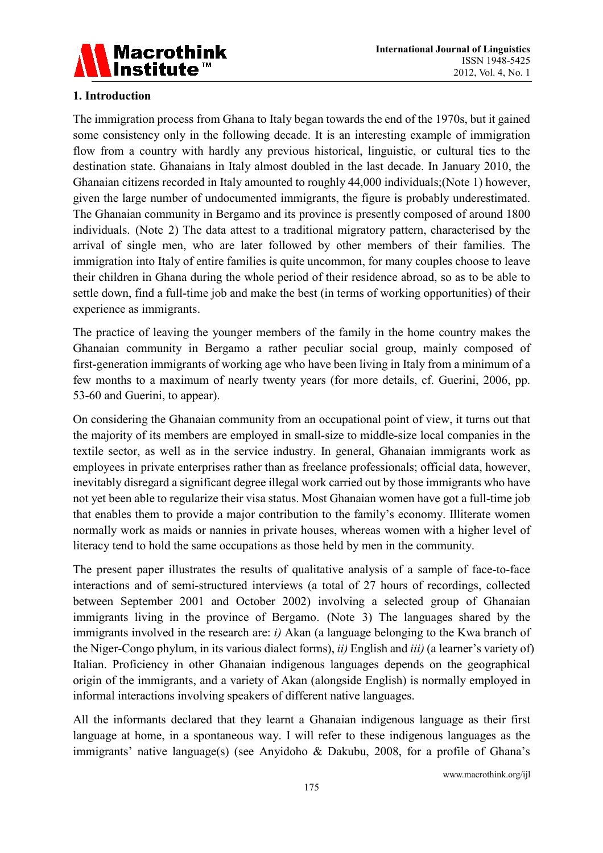

#### **1. Introduction**

The immigration process from Ghana to Italy began towards the end of the 1970s, but it gained some consistency only in the following decade. It is an interesting example of immigration flow from a country with hardly any previous historical, linguistic, or cultural ties to the destination state. Ghanaians in Italy almost doubled in the last decade. In January 2010, the Ghanaian citizens recorded in Italy amounted to roughly 44,000 individuals;(Note 1) however, given the large number of undocumented immigrants, the figure is probably underestimated. The Ghanaian community in Bergamo and its province is presently composed of around 1800 individuals. (Note 2) The data attest to a traditional migratory pattern, characterised by the arrival of single men, who are later followed by other members of their families. The immigration into Italy of entire families is quite uncommon, for many couples choose to leave their children in Ghana during the whole period of their residence abroad, so as to be able to settle down, find a full-time job and make the best (in terms of working opportunities) of their experience as immigrants.

The practice of leaving the younger members of the family in the home country makes the Ghanaian community in Bergamo a rather peculiar social group, mainly composed of first-generation immigrants of working age who have been living in Italy from a minimum of a few months to a maximum of nearly twenty years (for more details, cf. Guerini, 2006, pp. 53-60 and Guerini, to appear).

On considering the Ghanaian community from an occupational point of view, it turns out that the majority of its members are employed in small-size to middle-size local companies in the textile sector, as well as in the service industry. In general, Ghanaian immigrants work as employees in private enterprises rather than as freelance professionals; official data, however, inevitably disregard a significant degree illegal work carried out by those immigrants who have not yet been able to regularize their visa status. Most Ghanaian women have got a full-time job that enables them to provide a major contribution to the family's economy. Illiterate women normally work as maids or nannies in private houses, whereas women with a higher level of literacy tend to hold the same occupations as those held by men in the community.

The present paper illustrates the results of qualitative analysis of a sample of face-to-face interactions and of semi-structured interviews (a total of 27 hours of recordings, collected between September 2001 and October 2002) involving a selected group of Ghanaian immigrants living in the province of Bergamo. (Note 3) The languages shared by the immigrants involved in the research are: *i)* Akan (a language belonging to the Kwa branch of the Niger-Congo phylum, in its various dialect forms), *ii)* English and *iii)* (a learner's variety of) Italian. Proficiency in other Ghanaian indigenous languages depends on the geographical origin of the immigrants, and a variety of Akan (alongside English) is normally employed in informal interactions involving speakers of different native languages.

All the informants declared that they learnt a Ghanaian indigenous language as their first language at home, in a spontaneous way. I will refer to these indigenous languages as the immigrants' native language(s) (see Anyidoho & Dakubu, 2008, for a profile of Ghana's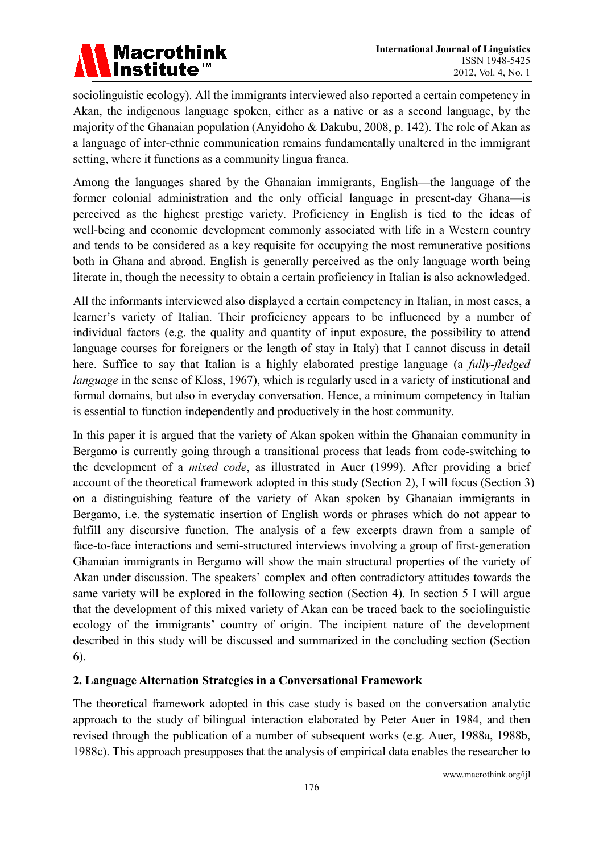# Macrothink<br>Institute™

sociolinguistic ecology). All the immigrants interviewed also reported a certain competency in Akan, the indigenous language spoken, either as a native or as a second language, by the majority of the Ghanaian population (Anyidoho & Dakubu, 2008, p. 142). The role of Akan as a language of inter-ethnic communication remains fundamentally unaltered in the immigrant setting, where it functions as a community lingua franca.

Among the languages shared by the Ghanaian immigrants, English—the language of the former colonial administration and the only official language in present-day Ghana—is perceived as the highest prestige variety. Proficiency in English is tied to the ideas of well-being and economic development commonly associated with life in a Western country and tends to be considered as a key requisite for occupying the most remunerative positions both in Ghana and abroad. English is generally perceived as the only language worth being literate in, though the necessity to obtain a certain proficiency in Italian is also acknowledged.

All the informants interviewed also displayed a certain competency in Italian, in most cases, a learner's variety of Italian. Their proficiency appears to be influenced by a number of individual factors (e.g. the quality and quantity of input exposure, the possibility to attend language courses for foreigners or the length of stay in Italy) that I cannot discuss in detail here. Suffice to say that Italian is a highly elaborated prestige language (a *fully-fledged language* in the sense of Kloss, 1967), which is regularly used in a variety of institutional and formal domains, but also in everyday conversation. Hence, a minimum competency in Italian is essential to function independently and productively in the host community.

In this paper it is argued that the variety of Akan spoken within the Ghanaian community in Bergamo is currently going through a transitional process that leads from code-switching to the development of a *mixed code*, as illustrated in Auer (1999). After providing a brief account of the theoretical framework adopted in this study (Section 2), I will focus (Section 3) on a distinguishing feature of the variety of Akan spoken by Ghanaian immigrants in Bergamo, i.e. the systematic insertion of English words or phrases which do not appear to fulfill any discursive function. The analysis of a few excerpts drawn from a sample of face-to-face interactions and semi-structured interviews involving a group of first-generation Ghanaian immigrants in Bergamo will show the main structural properties of the variety of Akan under discussion. The speakers' complex and often contradictory attitudes towards the same variety will be explored in the following section (Section 4). In section 5 I will argue that the development of this mixed variety of Akan can be traced back to the sociolinguistic ecology of the immigrants' country of origin. The incipient nature of the development described in this study will be discussed and summarized in the concluding section (Section 6).

#### **2. Language Alternation Strategies in a Conversational Framework**

The theoretical framework adopted in this case study is based on the conversation analytic approach to the study of bilingual interaction elaborated by Peter Auer in 1984, and then revised through the publication of a number of subsequent works (e.g. Auer, 1988a, 1988b, 1988c). This approach presupposes that the analysis of empirical data enables the researcher to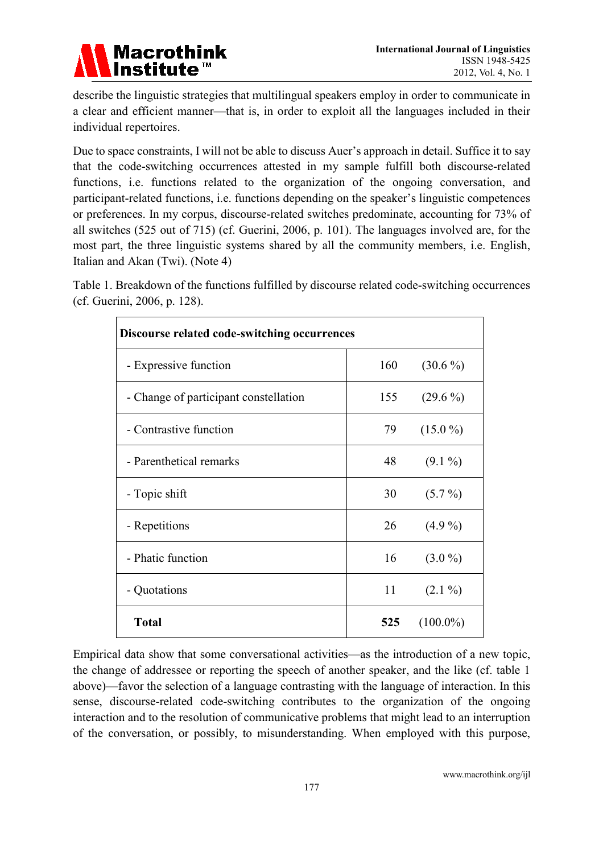

describe the linguistic strategies that multilingual speakers employ in order to communicate in a clear and efficient manner—that is, in order to exploit all the languages included in their individual repertoires.

Due to space constraints, I will not be able to discuss Auer's approach in detail. Suffice it to say that the code-switching occurrences attested in my sample fulfill both discourse-related functions, i.e. functions related to the organization of the ongoing conversation, and participant-related functions, i.e. functions depending on the speaker's linguistic competences or preferences. In my corpus, discourse-related switches predominate, accounting for 73% of all switches (525 out of 715) (cf. Guerini, 2006, p. 101). The languages involved are, for the most part, the three linguistic systems shared by all the community members, i.e. English, Italian and Akan (Twi). (Note 4)

Table 1. Breakdown of the functions fulfilled by discourse related code-switching occurrences (cf. Guerini, 2006, p. 128).

| Discourse related code-switching occurrences |     |             |  |  |  |  |  |
|----------------------------------------------|-----|-------------|--|--|--|--|--|
| - Expressive function                        | 160 | $(30.6\%)$  |  |  |  |  |  |
| - Change of participant constellation        | 155 | $(29.6\%)$  |  |  |  |  |  |
| - Contrastive function                       | 79  | $(15.0\%)$  |  |  |  |  |  |
| - Parenthetical remarks                      | 48  | $(9.1\%)$   |  |  |  |  |  |
| - Topic shift                                | 30  | $(5.7\%)$   |  |  |  |  |  |
| - Repetitions                                | 26  | $(4.9\%)$   |  |  |  |  |  |
| - Phatic function                            | 16  | $(3.0\%)$   |  |  |  |  |  |
| - Quotations                                 | 11  | $(2.1\%)$   |  |  |  |  |  |
| <b>Total</b>                                 | 525 | $(100.0\%)$ |  |  |  |  |  |

Empirical data show that some conversational activities—as the introduction of a new topic, the change of addressee or reporting the speech of another speaker, and the like (cf. table 1 above)—favor the selection of a language contrasting with the language of interaction. In this sense, discourse-related code-switching contributes to the organization of the ongoing interaction and to the resolution of communicative problems that might lead to an interruption of the conversation, or possibly, to misunderstanding. When employed with this purpose,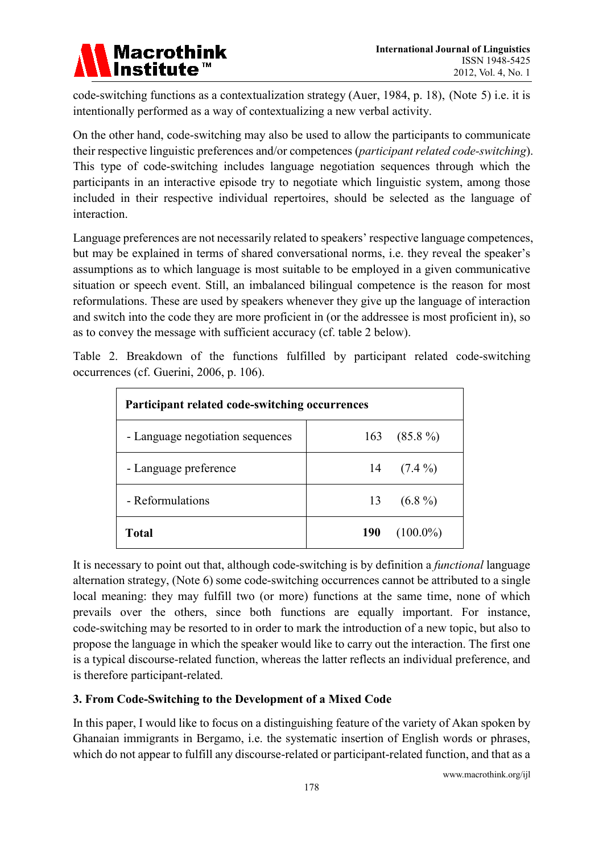

code-switching functions as a contextualization strategy (Auer, 1984, p. 18), (Note 5) i.e. it is intentionally performed as a way of contextualizing a new verbal activity.

On the other hand, code-switching may also be used to allow the participants to communicate their respective linguistic preferences and/or competences (*participant related code-switching*). This type of code-switching includes language negotiation sequences through which the participants in an interactive episode try to negotiate which linguistic system, among those included in their respective individual repertoires, should be selected as the language of interaction.

Language preferences are not necessarily related to speakers' respective language competences, but may be explained in terms of shared conversational norms, i.e. they reveal the speaker's assumptions as to which language is most suitable to be employed in a given communicative situation or speech event. Still, an imbalanced bilingual competence is the reason for most reformulations. These are used by speakers whenever they give up the language of interaction and switch into the code they are more proficient in (or the addressee is most proficient in), so as to convey the message with sufficient accuracy (cf. table 2 below).

Table 2. Breakdown of the functions fulfilled by participant related code-switching occurrences (cf. Guerini, 2006, p. 106).

| Participant related code-switching occurrences |            |              |  |  |  |  |  |
|------------------------------------------------|------------|--------------|--|--|--|--|--|
| - Language negotiation sequences               | 163        | $(85.8\%)$   |  |  |  |  |  |
| - Language preference                          |            | 14 $(7.4\%)$ |  |  |  |  |  |
| - Reformulations                               | 13         | $(6.8\%)$    |  |  |  |  |  |
| <b>Total</b>                                   | <b>190</b> | $(100.0\%)$  |  |  |  |  |  |

It is necessary to point out that, although code-switching is by definition a *functional* language alternation strategy, (Note 6) some code-switching occurrences cannot be attributed to a single local meaning: they may fulfill two (or more) functions at the same time, none of which prevails over the others, since both functions are equally important. For instance, code-switching may be resorted to in order to mark the introduction of a new topic, but also to propose the language in which the speaker would like to carry out the interaction. The first one is a typical discourse-related function, whereas the latter reflects an individual preference, and is therefore participant-related.

#### **3. From Code-Switching to the Development of a Mixed Code**

In this paper, I would like to focus on a distinguishing feature of the variety of Akan spoken by Ghanaian immigrants in Bergamo, i.e. the systematic insertion of English words or phrases, which do not appear to fulfill any discourse-related or participant-related function, and that as a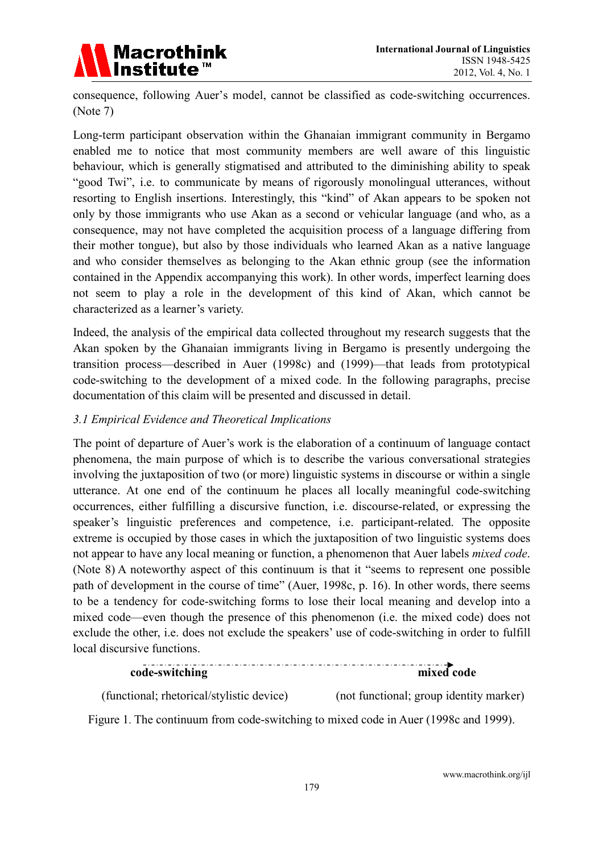

consequence, following Auer's model, cannot be classified as code-switching occurrences. (Note 7)

Long-term participant observation within the Ghanaian immigrant community in Bergamo enabled me to notice that most community members are well aware of this linguistic behaviour, which is generally stigmatised and attributed to the diminishing ability to speak "good Twi", i.e. to communicate by means of rigorously monolingual utterances, without resorting to English insertions. Interestingly, this "kind" of Akan appears to be spoken not only by those immigrants who use Akan as a second or vehicular language (and who, as a consequence, may not have completed the acquisition process of a language differing from their mother tongue), but also by those individuals who learned Akan as a native language and who consider themselves as belonging to the Akan ethnic group (see the information contained in the Appendix accompanying this work). In other words, imperfect learning does not seem to play a role in the development of this kind of Akan, which cannot be characterized as a learner's variety.

Indeed, the analysis of the empirical data collected throughout my research suggests that the Akan spoken by the Ghanaian immigrants living in Bergamo is presently undergoing the transition process—described in Auer (1998c) and (1999)—that leads from prototypical code-switching to the development of a mixed code. In the following paragraphs, precise documentation of this claim will be presented and discussed in detail.

#### *3.1 Empirical Evidence and Theoretical Implications*

The point of departure of Auer's work is the elaboration of a continuum of language contact phenomena, the main purpose of which is to describe the various conversational strategies involving the juxtaposition of two (or more) linguistic systems in discourse or within a single utterance. At one end of the continuum he places all locally meaningful code-switching occurrences, either fulfilling a discursive function, i.e. discourse-related, or expressing the speaker's linguistic preferences and competence, i.e. participant-related. The opposite extreme is occupied by those cases in which the juxtaposition of two linguistic systems does not appear to have any local meaning or function, a phenomenon that Auer labels *mixed code*. (Note 8) A noteworthy aspect of this continuum is that it "seems to represent one possible path of development in the course of time" (Auer, 1998c, p. 16). In other words, there seems to be a tendency for code-switching forms to lose their local meaning and develop into a mixed code—even though the presence of this phenomenon (i.e. the mixed code) does not exclude the other, i.e. does not exclude the speakers' use of code-switching in order to fulfill local discursive functions.

### **code-switching mixed code**

(functional; rhetorical/stylistic device) (not functional; group identity marker)

Figure 1. The continuum from code-switching to mixed code in Auer (1998c and 1999).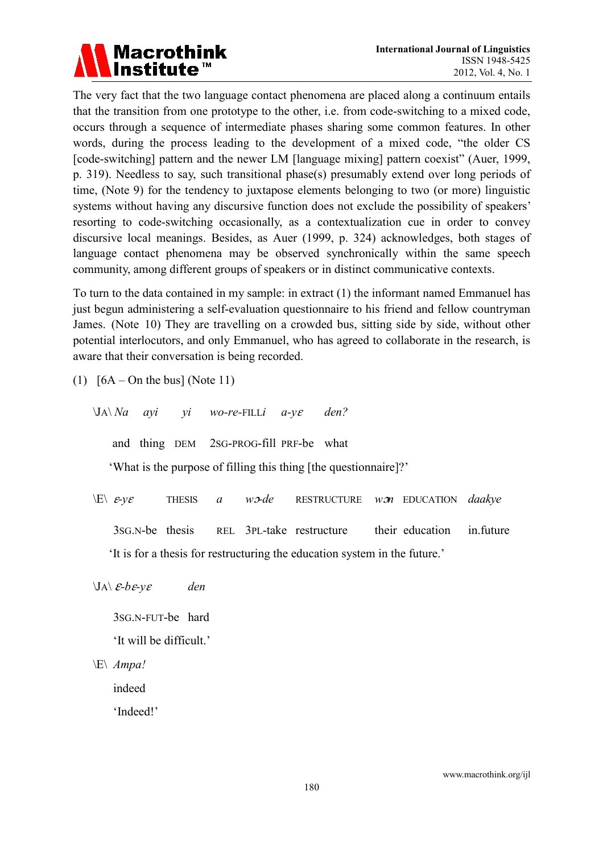## **Macrothink** Institute

The very fact that the two language contact phenomena are placed along a continuum entails that the transition from one prototype to the other, i.e. from code-switching to a mixed code, occurs through a sequence of intermediate phases sharing some common features. In other words, during the process leading to the development of a mixed code, "the older CS [code-switching] pattern and the newer LM [language mixing] pattern coexist" (Auer, 1999, p. 319). Needless to say, such transitional phase(s) presumably extend over long periods of time, (Note 9) for the tendency to juxtapose elements belonging to two (or more) linguistic systems without having any discursive function does not exclude the possibility of speakers' resorting to code-switching occasionally, as a contextualization cue in order to convey discursive local meanings. Besides, as Auer (1999, p. 324) acknowledges, both stages of language contact phenomena may be observed synchronically within the same speech community, among different groups of speakers or in distinct communicative contexts.

To turn to the data contained in my sample: in extract (1) the informant named Emmanuel has just begun administering a self-evaluation questionnaire to his friend and fellow countryman James. (Note 10) They are travelling on a crowded bus, sitting side by side, without other potential interlocutors, and only Emmanuel, who has agreed to collaborate in the research, is aware that their conversation is being recorded.

(1)  $[6A - On the bus] (Note 11)$ 

 $\forall A \setminus Na$  *ayi yi wo-re-FILLi a-ye den?* 

and thing DEM 2SG-PROG-fill PRF-be what

'What is the purpose of filling this thing [the questionnaire]?'

\E\ *-y* THESIS *a w-de* RESTRUCTURE *wn* EDUCATION *daakye*

3SG.N-be thesis REL 3PL-take restructure their education in.future

'It is for a thesis for restructuring the education system in the future.'

 $\forall A \in b \in y \in \mathcal{E}$  den

3SG.N-FUT-be hard

'It will be difficult.'

\E\ *Ampa!*

indeed

'Indeed!'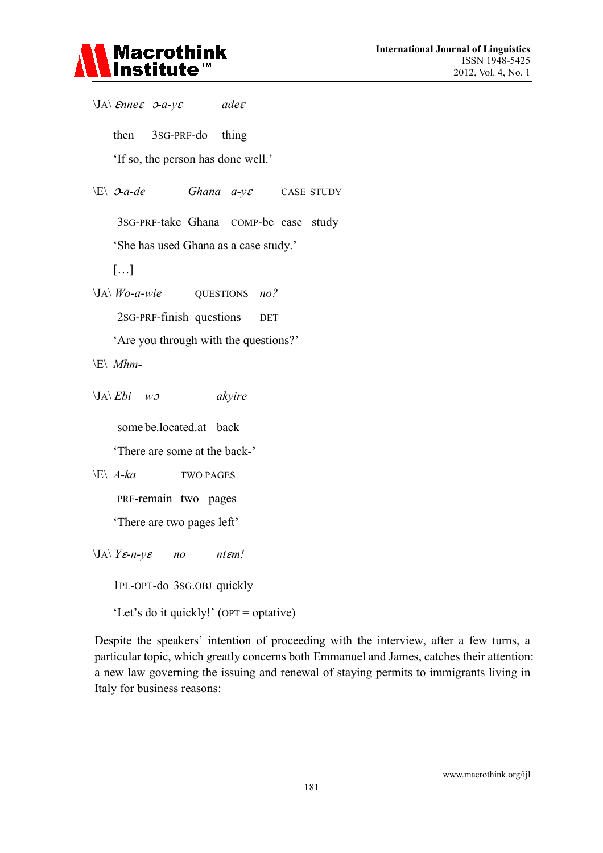

 $\forall A \in \mathcal{B}$  *annee*  $\forall A \in \mathcal{B}$  *adee*  then 3SG-PRF-do thing 'If so, the person has done well.'  $\mathbb{E} \setminus \mathcal{P}$ *a-de Ghana a-y CASE STUDY*  3SG-PRF-take Ghana COMP-be case study 'She has used Ghana as a case study.' […] \JA\ *Wo-a-wie* QUESTIONS *no?* 2SG-PRF-finish questions DET 'Are you through with the questions?' \E\ *Mhm-*  $\forall A \in \mathbb{R}$  *Ebi w akyire*  some be.located.at back 'There are some at the back-' \E\ *A-ka* TWO PAGES PRF-remain two pages 'There are two pages left'  $\forall A \forall Y \in \mathbb{R} \rightarrow \mathbb{R}$  no ntem! 1PL-OPT-do 3SG.OBJ quickly 'Let's do it quickly!' (OPT = optative)

Despite the speakers' intention of proceeding with the interview, after a few turns, a particular topic, which greatly concerns both Emmanuel and James, catches their attention: a new law governing the issuing and renewal of staying permits to immigrants living in Italy for business reasons: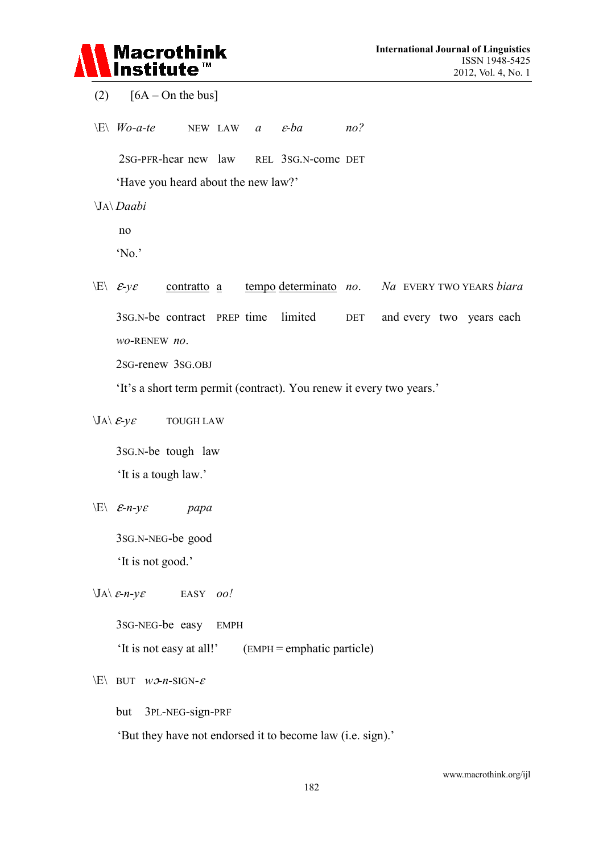

|                                                                      | $[6A - On the bus]$<br>(2)                        |                                     |             |  |                                                            |  |  |  |                              |  |
|----------------------------------------------------------------------|---------------------------------------------------|-------------------------------------|-------------|--|------------------------------------------------------------|--|--|--|------------------------------|--|
|                                                                      | $\E \ W$ o-a-te                                   |                                     | NEW LAW a   |  | $\varepsilon$ -ba no?                                      |  |  |  |                              |  |
|                                                                      |                                                   |                                     |             |  | 2SG-PFR-hear new law REL 3SG.N-come DET                    |  |  |  |                              |  |
|                                                                      |                                                   | 'Have you heard about the new law?' |             |  |                                                            |  |  |  |                              |  |
|                                                                      | JA\ Daabi                                         |                                     |             |  |                                                            |  |  |  |                              |  |
|                                                                      | $\rm no$                                          |                                     |             |  |                                                            |  |  |  |                              |  |
|                                                                      | 'No.'                                             |                                     |             |  |                                                            |  |  |  |                              |  |
|                                                                      | $\mathbb{E} \in \mathcal{E}$                      |                                     |             |  | contratto a tempo determinato no. Na EVERY TWO YEARS biard |  |  |  |                              |  |
|                                                                      |                                                   |                                     |             |  | 3sG.N-be contract PREP time limited                        |  |  |  | DET and every two years each |  |
|                                                                      | wo-RENEW no.                                      |                                     |             |  |                                                            |  |  |  |                              |  |
|                                                                      |                                                   | 2sG-renew 3sG.OBJ                   |             |  |                                                            |  |  |  |                              |  |
| 'It's a short term permit (contract). You renew it every two years.' |                                                   |                                     |             |  |                                                            |  |  |  |                              |  |
|                                                                      | $\forall A \in y \in \mathcal{E}$                 | <b>TOUGH LAW</b>                    |             |  |                                                            |  |  |  |                              |  |
|                                                                      | 3sG.N-be tough law                                |                                     |             |  |                                                            |  |  |  |                              |  |
|                                                                      | 'It is a tough law.'                              |                                     |             |  |                                                            |  |  |  |                              |  |
|                                                                      | $\mathbb{E} \in \mathbb{R}$ -ye                   | papa                                |             |  |                                                            |  |  |  |                              |  |
|                                                                      |                                                   | 3sG.N-NEG-be good                   |             |  |                                                            |  |  |  |                              |  |
|                                                                      | 'It is not good.'                                 |                                     |             |  |                                                            |  |  |  |                              |  |
|                                                                      | $\forall A \in \mathbb{R}$                        | EASY 00!                            |             |  |                                                            |  |  |  |                              |  |
|                                                                      | 3sG-NEG-be easy                                   |                                     | <b>EMPH</b> |  |                                                            |  |  |  |                              |  |
|                                                                      |                                                   | 'It is not easy at all!'            |             |  | $(EMPH = emphatic particle)$                               |  |  |  |                              |  |
|                                                                      | $\E\$ BUT $w\mathcal{P}n\text{-SIGN-}\mathcal{E}$ |                                     |             |  |                                                            |  |  |  |                              |  |

but 3PL-NEG-sign-PRF

'But they have not endorsed it to become law (i.e. sign).'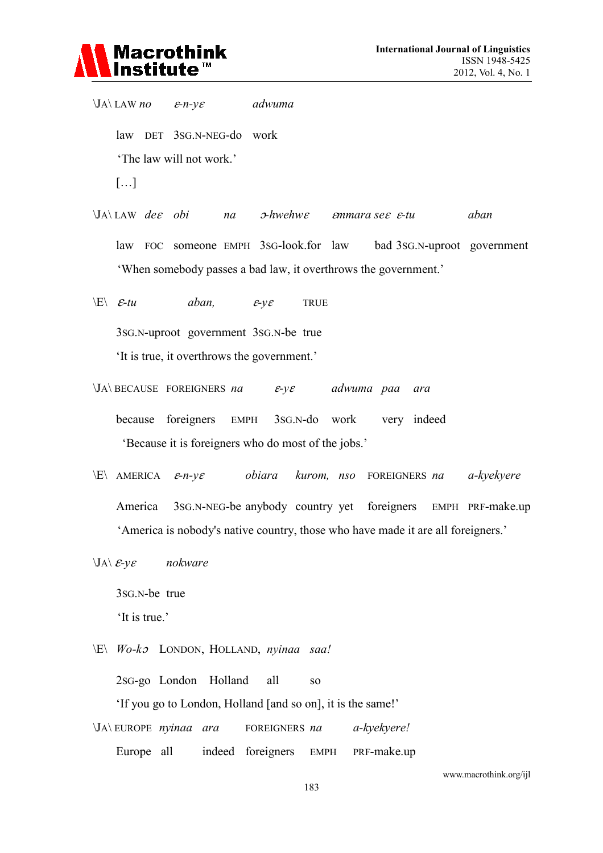

- $\forall A \in \mathbb{A}$ W *no*  $\in \mathbb{A}$ -y $\varepsilon$  *adwuma*  law DET 3SG.N-NEG-do work 'The law will not work.'
	- […]
- $\forall A \setminus LAW$  *dee obi* na  $\rightarrow hwehw \in \mathcal{E}$  *emmara see*  $\infty$ -tu aban law FOC someone EMPH 3SG-look.for law bad 3SG.N-uproot government 'When somebody passes a bad law, it overthrows the government.'
- $\left\langle E \right\rangle$  *e-tu aban, e-ye* TRUE 3SG.N-uproot government 3SG.N-be true 'It is true, it overthrows the government.'
- $\forall A \exists BECAUSE$  FOREIGNERS *na*  $\varepsilon$ -y $\varepsilon$  *adwuma paa ara*  because foreigners EMPH 3SG.N-do work very indeed 'Because it is foreigners who do most of the jobs.'
- \E\ AMERICA *-n-y obiara kurom, nso* FOREIGNERS *na a-kyekyere* America 3SG.N-NEG-be anybody country yet foreigners EMPH PRF-make.up 'America is nobody's native country, those who have made it are all foreigners.'
- $\forall A \in V \in$  *nokware*

 3SG.N-be true 'It is true.'

\E\ *Wo-k* LONDON, HOLLAND, *nyinaa saa!*

 2SG-go London Holland all so 'If you go to London, Holland [and so on], it is the same!' \JA\ EUROPE *nyinaa ara* FOREIGNERS *na a-kyekyere!* Europe all indeed foreigners EMPH PRF-make.up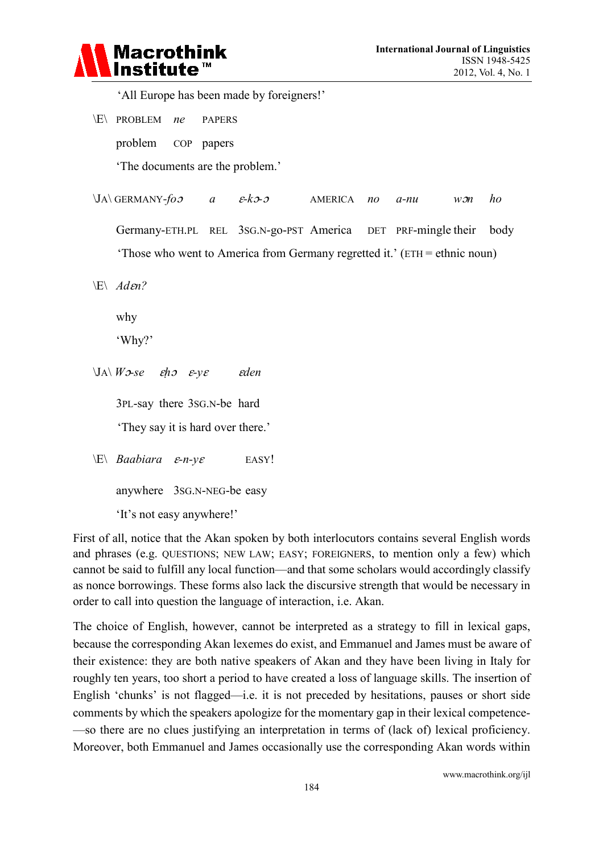

'All Europe has been made by foreigners!'

\E\ PROBLEM *ne* PAPERS

problem COP papers

'The documents are the problem.'

\JA\ GERMANY*-fo a -k-* AMERICA *no a-nu wn ho*

 Germany-ETH.PL REL 3SG.N-go-PST America DET PRF-mingle their body 'Those who went to America from Germany regretted it.' (ETH = ethnic noun)

\E\ *Adn?*

why

'Why?'

 $\forall A \land W$  $\rightarrow$ se *cho*  $\varepsilon$ - $\forall \varepsilon$  *eden* 

3PL-say there 3SG.N-be hard

'They say it is hard over there.'

 $\E{\}$  *Baabiara*  $\varepsilon$ -*n-y* $\varepsilon$  EASY!

anywhere 3SG.N-NEG-be easy

'It's not easy anywhere!'

First of all, notice that the Akan spoken by both interlocutors contains several English words and phrases (e.g. QUESTIONS; NEW LAW; EASY; FOREIGNERS, to mention only a few) which cannot be said to fulfill any local function—and that some scholars would accordingly classify as nonce borrowings. These forms also lack the discursive strength that would be necessary in order to call into question the language of interaction, i.e. Akan.

The choice of English, however, cannot be interpreted as a strategy to fill in lexical gaps, because the corresponding Akan lexemes do exist, and Emmanuel and James must be aware of their existence: they are both native speakers of Akan and they have been living in Italy for roughly ten years, too short a period to have created a loss of language skills. The insertion of English 'chunks' is not flagged—i.e. it is not preceded by hesitations, pauses or short side comments by which the speakers apologize for the momentary gap in their lexical competence- —so there are no clues justifying an interpretation in terms of (lack of) lexical proficiency. Moreover, both Emmanuel and James occasionally use the corresponding Akan words within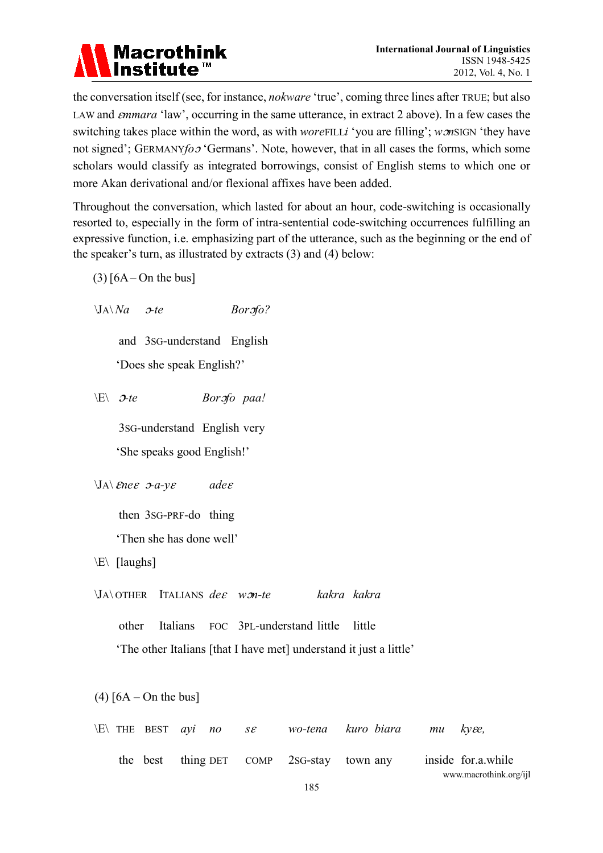

the conversation itself (see, for instance, *nokware* 'true', coming three lines after TRUE; but also LAW and *emmara* 'law', occurring in the same utterance, in extract 2 above). In a few cases the switching takes place within the word, as with *wore*FILL*i* 'you are filling'; *wn*SIGN 'they have not signed'; GERMANY*foo* 'Germans'. Note, however, that in all cases the forms, which some scholars would classify as integrated borrowings, consist of English stems to which one or more Akan derivational and/or flexional affixes have been added.

Throughout the conversation, which lasted for about an hour, code-switching is occasionally resorted to, especially in the form of intra-sentential code-switching occurrences fulfilling an expressive function, i.e. emphasizing part of the utterance, such as the beginning or the end of the speaker's turn, as illustrated by extracts (3) and (4) below:

- $(3)$  [6A On the bus]
- $\forall A \setminus Na$   $\rightarrow te$  *Borfo?*

 and 3SG-understand English 'Does she speak English?'

\E\ *-te Borfo paa!* 

 3SG-understand English very 'She speaks good English!'

 $\forall A \in \mathcal{E}$  *a-y* $\varepsilon$  *ade* $\varepsilon$ 

then 3SG-PRF-do thing

'Then she has done well'

 $\E\left\{\text{laughs}\right\}$ 

\JA\ OTHER ITALIANS *de wn-te kakra kakra*  other Italians FOC 3PL-understand little little 'The other Italians [that I have met] understand it just a little'

 $(4)$  [6A – On the bus]

|  |  | $\E \setminus$ THE BEST <i>avi no se</i> | wo-tena kuro biara                        |  | mu kvee, |                        |
|--|--|------------------------------------------|-------------------------------------------|--|----------|------------------------|
|  |  |                                          | the best thing DET COMP 2sG-stay town any |  |          | inside for.a.while     |
|  |  |                                          |                                           |  |          | www.macrothink.org/ijl |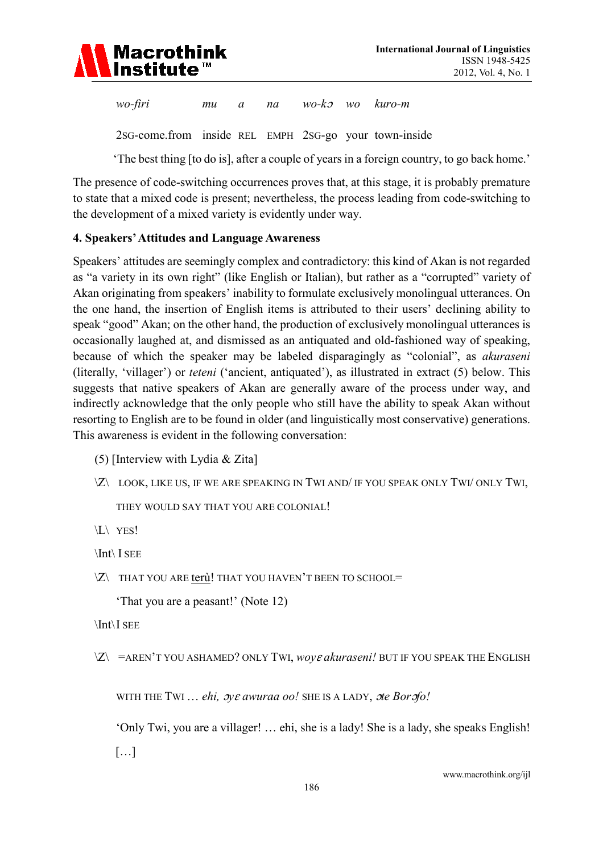

*wo-firi mu a na wo-ko wo kuro-m* 

2SG-come.from inside REL EMPH 2SG-go your town-inside

'The best thing [to do is], after a couple of years in a foreign country, to go back home.'

The presence of code-switching occurrences proves that, at this stage, it is probably premature to state that a mixed code is present; nevertheless, the process leading from code-switching to the development of a mixed variety is evidently under way.

#### **4. Speakers' Attitudes and Language Awareness**

Speakers' attitudes are seemingly complex and contradictory: this kind of Akan is not regarded as "a variety in its own right" (like English or Italian), but rather as a "corrupted" variety of Akan originating from speakers' inability to formulate exclusively monolingual utterances. On the one hand, the insertion of English items is attributed to their users' declining ability to speak "good" Akan; on the other hand, the production of exclusively monolingual utterances is occasionally laughed at, and dismissed as an antiquated and old-fashioned way of speaking, because of which the speaker may be labeled disparagingly as "colonial", as *akuraseni* (literally, 'villager') or *teteni* ('ancient, antiquated'), as illustrated in extract (5) below. This suggests that native speakers of Akan are generally aware of the process under way, and indirectly acknowledge that the only people who still have the ability to speak Akan without resorting to English are to be found in older (and linguistically most conservative) generations. This awareness is evident in the following conversation:

- (5) [Interview with Lydia & Zita]
- \Z\ LOOK, LIKE US, IF WE ARE SPEAKING IN TWI AND/ IF YOU SPEAK ONLY TWI/ ONLY TWI,

THEY WOULD SAY THAT YOU ARE COLONIAL!

\L\ YES!

\Int\ I SEE

 $\langle Z \rangle$  THAT YOU ARE terù! THAT YOU HAVEN'T BEEN TO SCHOOL=

'That you are a peasant!' (Note 12)

- \Int\ I SEE
- $\langle Z \rangle$  =AREN'T YOU ASHAMED? ONLY TWI, *woye akuraseni!* BUT IF YOU SPEAK THE ENGLISH

WITH THE TWI … *ehi, y awuraa oo!* SHE IS A LADY, *te Borfo!*

 'Only Twi, you are a villager! … ehi, she is a lady! She is a lady, she speaks English! […]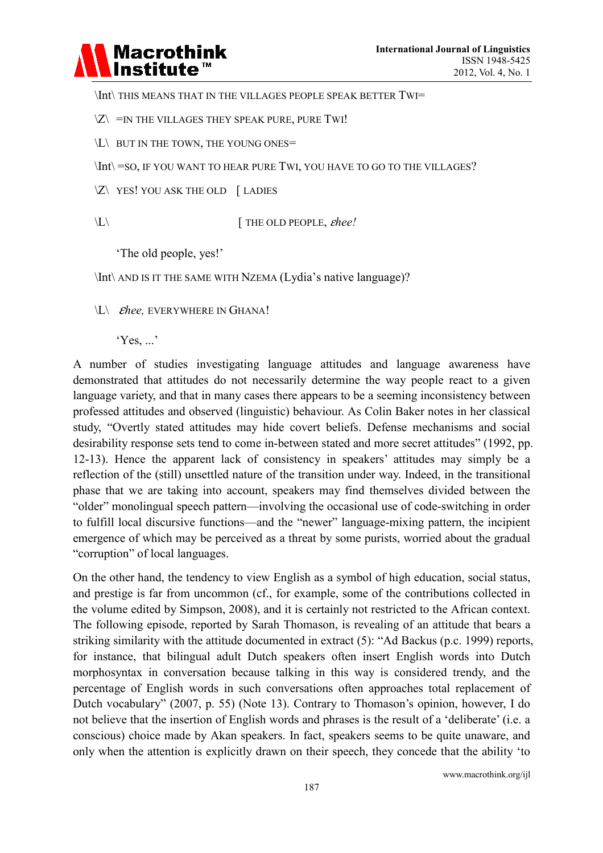## **Macrothink Institute**

\Int\ THIS MEANS THAT IN THE VILLAGES PEOPLE SPEAK BETTER TWI=

 $\langle Z \rangle$  =IN THE VILLAGES THEY SPEAK PURE, PURE TWI!

\L\ BUT IN THE TOWN, THE YOUNG ONES=

\Int\ =SO, IF YOU WANT TO HEAR PURE TWI, YOU HAVE TO GO TO THE VILLAGES?

\Z\ YES! YOU ASK THE OLD [ LADIES

\L\ [ THE OLD PEOPLE, *hee!*

'The old people, yes!'

\Int\ AND IS IT THE SAME WITH NZEMA (Lydia's native language)?

\L\ *hee,* EVERYWHERE IN GHANA!

'Yes, '

A number of studies investigating language attitudes and language awareness have demonstrated that attitudes do not necessarily determine the way people react to a given language variety, and that in many cases there appears to be a seeming inconsistency between professed attitudes and observed (linguistic) behaviour. As Colin Baker notes in her classical study, "Overtly stated attitudes may hide covert beliefs. Defense mechanisms and social desirability response sets tend to come in-between stated and more secret attitudes" (1992, pp. 12-13). Hence the apparent lack of consistency in speakers' attitudes may simply be a reflection of the (still) unsettled nature of the transition under way. Indeed, in the transitional phase that we are taking into account, speakers may find themselves divided between the "older" monolingual speech pattern—involving the occasional use of code-switching in order to fulfill local discursive functions—and the "newer" language-mixing pattern, the incipient emergence of which may be perceived as a threat by some purists, worried about the gradual "corruption" of local languages.

On the other hand, the tendency to view English as a symbol of high education, social status, and prestige is far from uncommon (cf., for example, some of the contributions collected in the volume edited by Simpson, 2008), and it is certainly not restricted to the African context. The following episode, reported by Sarah Thomason, is revealing of an attitude that bears a striking similarity with the attitude documented in extract (5): "Ad Backus (p.c. 1999) reports, for instance, that bilingual adult Dutch speakers often insert English words into Dutch morphosyntax in conversation because talking in this way is considered trendy, and the percentage of English words in such conversations often approaches total replacement of Dutch vocabulary" (2007, p. 55) (Note 13). Contrary to Thomason's opinion, however, I do not believe that the insertion of English words and phrases is the result of a 'deliberate' (i.e. a conscious) choice made by Akan speakers. In fact, speakers seems to be quite unaware, and only when the attention is explicitly drawn on their speech, they concede that the ability 'to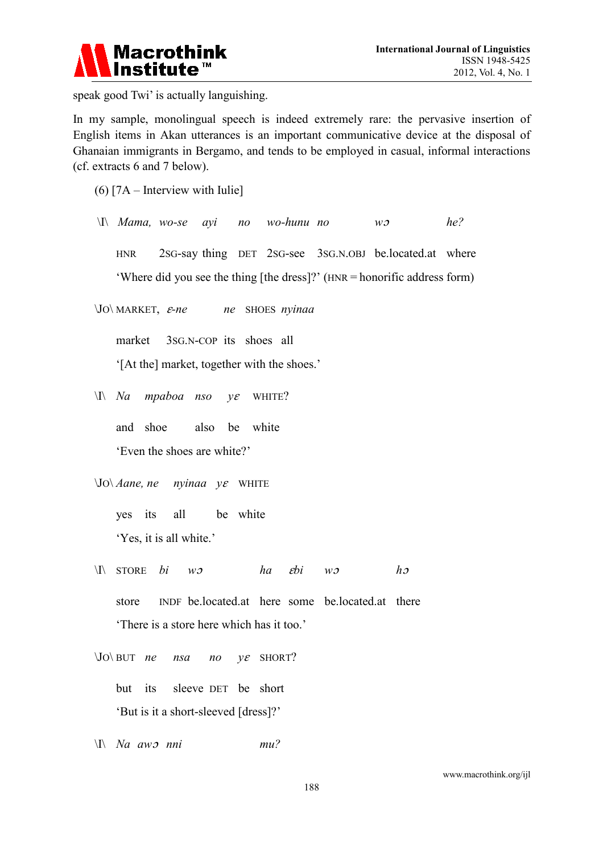

speak good Twi' is actually languishing.

In my sample, monolingual speech is indeed extremely rare: the pervasive insertion of English items in Akan utterances is an important communicative device at the disposal of Ghanaian immigrants in Bergamo, and tends to be employed in casual, informal interactions (cf. extracts 6 and 7 below).

(6) [7A – Interview with Iulie]

 $\forall$  *Mama, wo-se ayi no wo-hunu no wo wo he?* HNR 2SG-say thing DET 2SG-see 3SG.N.OBJ be.located.at where 'Where did you see the thing [the dress]?' (HNR = honorific address form)

\JO\ MARKET, *-ne ne* SHOES *nyinaa*

market 3SG N-COP its shoes all

'[At the] market, together with the shoes.'

 $\forall I \ \ Na$  *mpaboa nso*  $\forall \varepsilon$  WHITE?

 and shoe also be white 'Even the shoes are white?'

 $\bigcup$ O $\setminus$ *Aane, ne nyinaa ye* WHITE

 yes its all be white 'Yes, it is all white.'

- $\forall$  STORE *bi w ha ebi w h h*  store INDF be.located.at here some be.located.at there 'There is a store here which has it too.'
- $\bigU_0\$  BUT *ne nsa no ye* SHORT? but its sleeve DET be short 'But is it a short-sleeved [dress]?'
- $\forall I \land Na$  *awo nni mu?*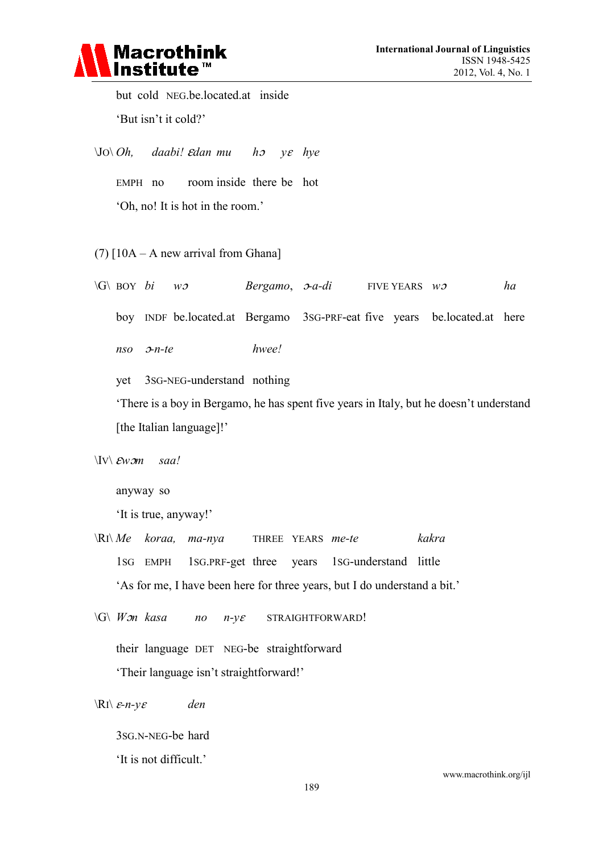

 but cold NEG.be.located.at inside 'But isn't it cold?'

 $\bigcup$  *Oh, daabi! <i>edan mu h y e hye* 

EMPH no room inside there be hot

'Oh, no! It is hot in the room.'

#### (7)  $[10A - A$  new arrival from Ghana]

 $\langle G \rangle$  BOY *bi w b Bergamo*, *xa-di* FIVE YEARS *w ha* 

boy INDF be.located.at Bergamo 3SG-PRF-eat five years be.located.at here

*nso -n-te hwee!*

yet 3SG-NEG-understand nothing

 'There is a boy in Bergamo, he has spent five years in Italy, but he doesn't understand [the Italian language]!'

```
 \IV\ wm saa!
```
anyway so

'It is true, anyway!'

 \RI\ *Me koraa, ma-nya* THREE YEARS *me-te kakra* 1SG EMPH 1SG.PRF-get three years 1SG-understand little 'As for me, I have been here for three years, but I do understand a bit.'

\G\ *Wn* kasa no n-y $\varepsilon$  STRAIGHTFORWARD!

their language DET NEG-be straightforward

'Their language isn't straightforward!'

 $\R$ I $\epsilon$ -*n-v* $\varepsilon$  *den* 

 3SG.N-NEG-be hard 'It is not difficult.'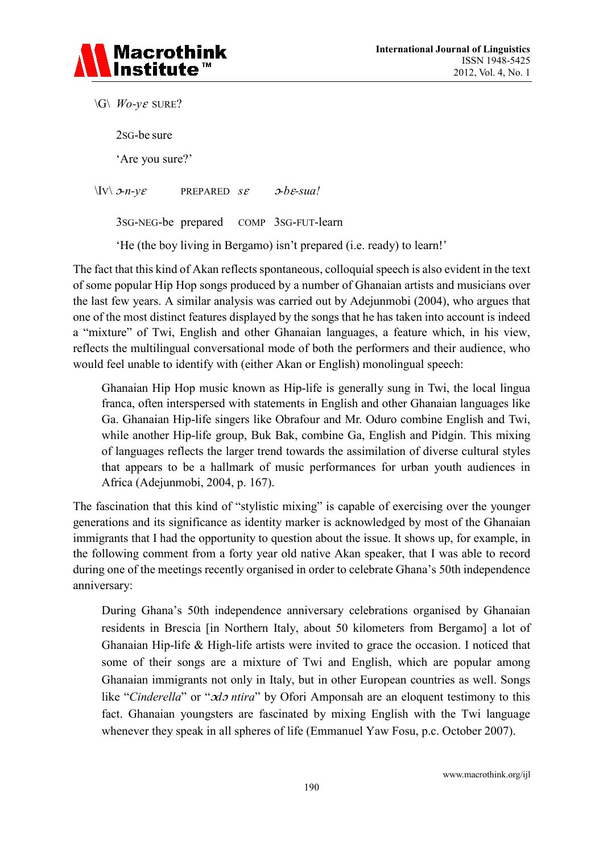

 $\forall G \forall Wo\neg y \varepsilon$  SURE?

2SG-be sure

'Are you sure?'

 $\forall$ IV $\forall$  *-n-v* $\varepsilon$  PREPARED *s* $\varepsilon$  *-b* $\varepsilon$ -sua!

3SG-NEG-be prepared COMP 3SG-FUT-learn

'He (the boy living in Bergamo) isn't prepared (i.e. ready) to learn!'

The fact that this kind of Akan reflects spontaneous, colloquial speech is also evident in the text of some popular Hip Hop songs produced by a number of Ghanaian artists and musicians over the last few years. A similar analysis was carried out by Adejunmobi (2004), who argues that one of the most distinct features displayed by the songs that he has taken into account is indeed a "mixture" of Twi, English and other Ghanaian languages, a feature which, in his view, reflects the multilingual conversational mode of both the performers and their audience, who would feel unable to identify with (either Akan or English) monolingual speech:

Ghanaian Hip Hop music known as Hip-life is generally sung in Twi, the local lingua franca, often interspersed with statements in English and other Ghanaian languages like Ga. Ghanaian Hip-life singers like Obrafour and Mr. Oduro combine English and Twi, while another Hip-life group, Buk Bak, combine Ga, English and Pidgin. This mixing of languages reflects the larger trend towards the assimilation of diverse cultural styles that appears to be a hallmark of music performances for urban youth audiences in Africa (Adejunmobi, 2004, p. 167).

The fascination that this kind of "stylistic mixing" is capable of exercising over the younger generations and its significance as identity marker is acknowledged by most of the Ghanaian immigrants that I had the opportunity to question about the issue. It shows up, for example, in the following comment from a forty year old native Akan speaker, that I was able to record during one of the meetings recently organised in order to celebrate Ghana's 50th independence anniversary:

During Ghana's 50th independence anniversary celebrations organised by Ghanaian residents in Brescia [in Northern Italy, about 50 kilometers from Bergamo] a lot of Ghanaian Hip-life & High-life artists were invited to grace the occasion. I noticed that some of their songs are a mixture of Twi and English, which are popular among Ghanaian immigrants not only in Italy, but in other European countries as well. Songs like "*Cinderella*" or " $\alpha$ *do* ntira" by Ofori Amponsah are an eloquent testimony to this fact. Ghanaian youngsters are fascinated by mixing English with the Twi language whenever they speak in all spheres of life (Emmanuel Yaw Fosu, p.c. October 2007).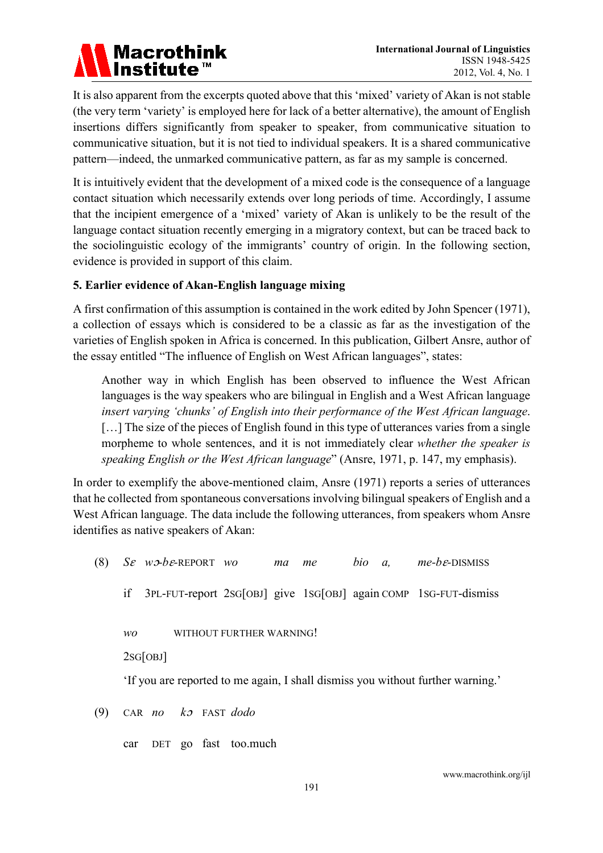# **Macrothink**

It is also apparent from the excerpts quoted above that this 'mixed' variety of Akan is not stable (the very term 'variety' is employed here for lack of a better alternative), the amount of English insertions differs significantly from speaker to speaker, from communicative situation to communicative situation, but it is not tied to individual speakers. It is a shared communicative pattern—indeed, the unmarked communicative pattern, as far as my sample is concerned.

It is intuitively evident that the development of a mixed code is the consequence of a language contact situation which necessarily extends over long periods of time. Accordingly, I assume that the incipient emergence of a 'mixed' variety of Akan is unlikely to be the result of the language contact situation recently emerging in a migratory context, but can be traced back to the sociolinguistic ecology of the immigrants' country of origin. In the following section, evidence is provided in support of this claim.

#### **5. Earlier evidence of Akan-English language mixing**

A first confirmation of this assumption is contained in the work edited by John Spencer (1971), a collection of essays which is considered to be a classic as far as the investigation of the varieties of English spoken in Africa is concerned. In this publication, Gilbert Ansre, author of the essay entitled "The influence of English on West African languages", states:

Another way in which English has been observed to influence the West African languages is the way speakers who are bilingual in English and a West African language *insert varying 'chunks' of English into their performance of the West African language*. [...] The size of the pieces of English found in this type of utterances varies from a single morpheme to whole sentences, and it is not immediately clear *whether the speaker is speaking English or the West African language*" (Ansre, 1971, p. 147, my emphasis).

In order to exemplify the above-mentioned claim, Ansre (1971) reports a series of utterances that he collected from spontaneous conversations involving bilingual speakers of English and a West African language. The data include the following utterances, from speakers whom Ansre identifies as native speakers of Akan:

- (8)  $\mathcal{S}$ **E** wxtp-REPORT wo ma me bio a, me-b $\varepsilon$ -DISMISS
	- if 3PL-FUT-report 2SG[OBJ] give 1SG[OBJ] again COMP 1SG-FUT-dismiss
	- *wo* WITHOUT FURTHER WARNING!

2SG[OBJ]

'If you are reported to me again, I shall dismiss you without further warning.'

(9) CAR *no k* FAST *dodo*

car DET go fast too.much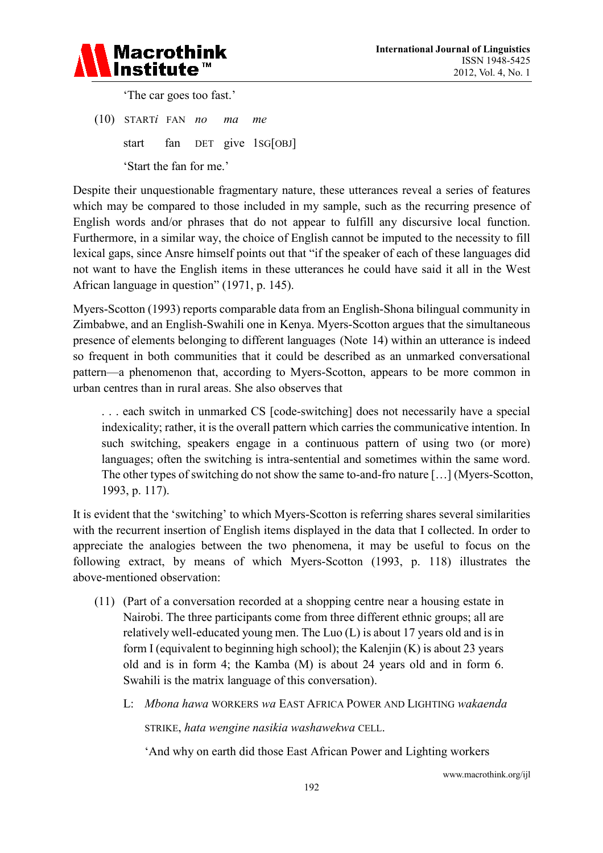

'The car goes too fast.'

(10) START*i* FAN *no ma me* start fan DET give 1SG[OBJ] 'Start the fan for me.'

Despite their unquestionable fragmentary nature, these utterances reveal a series of features which may be compared to those included in my sample, such as the recurring presence of English words and/or phrases that do not appear to fulfill any discursive local function. Furthermore, in a similar way, the choice of English cannot be imputed to the necessity to fill lexical gaps, since Ansre himself points out that "if the speaker of each of these languages did not want to have the English items in these utterances he could have said it all in the West African language in question" (1971, p. 145).

Myers-Scotton (1993) reports comparable data from an English-Shona bilingual community in Zimbabwe, and an English-Swahili one in Kenya. Myers-Scotton argues that the simultaneous presence of elements belonging to different languages (Note 14) within an utterance is indeed so frequent in both communities that it could be described as an unmarked conversational pattern—a phenomenon that, according to Myers-Scotton, appears to be more common in urban centres than in rural areas. She also observes that

. . . each switch in unmarked CS [code-switching] does not necessarily have a special indexicality; rather, it is the overall pattern which carries the communicative intention. In such switching, speakers engage in a continuous pattern of using two (or more) languages; often the switching is intra-sentential and sometimes within the same word. The other types of switching do not show the same to-and-fro nature […] (Myers-Scotton, 1993, p. 117).

It is evident that the 'switching' to which Myers-Scotton is referring shares several similarities with the recurrent insertion of English items displayed in the data that I collected. In order to appreciate the analogies between the two phenomena, it may be useful to focus on the following extract, by means of which Myers-Scotton (1993, p. 118) illustrates the above-mentioned observation:

- (11) (Part of a conversation recorded at a shopping centre near a housing estate in Nairobi. The three participants come from three different ethnic groups; all are relatively well-educated young men. The Luo (L) is about 17 years old and is in form I (equivalent to beginning high school); the Kalenjin (K) is about 23 years old and is in form 4; the Kamba (M) is about 24 years old and in form 6. Swahili is the matrix language of this conversation).
	- L: *Mbona hawa* WORKERS *wa* EAST AFRICA POWER AND LIGHTING *wakaenda*

STRIKE, *hata wengine nasikia washawekwa* CELL.

'And why on earth did those East African Power and Lighting workers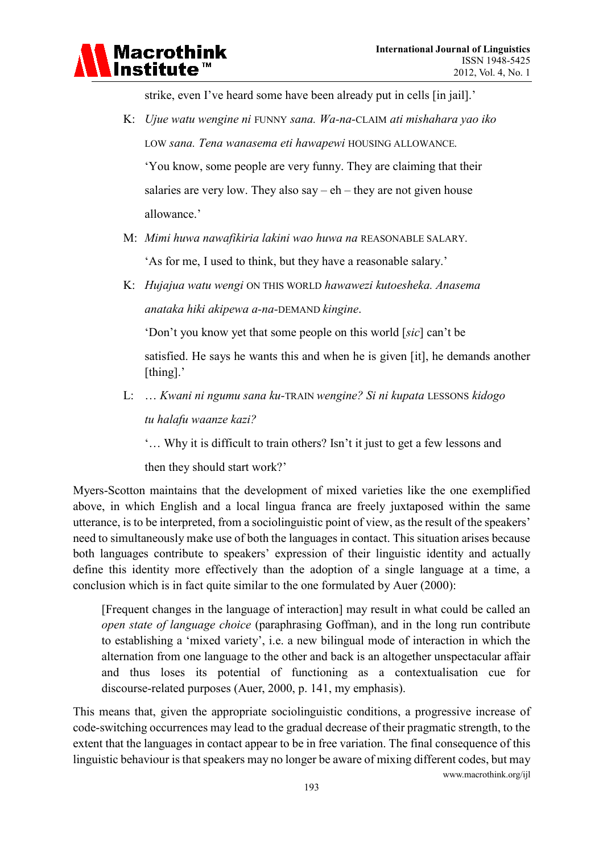**Macrothink Institute™** 

strike, even I've heard some have been already put in cells [in jail].'

- K: *Ujue watu wengine ni* FUNNY *sana. Wa-na-*CLAIM *ati mishahara yao iko* LOW *sana. Tena wanasema eti hawapewi* HOUSING ALLOWANCE*.* 'You know, some people are very funny. They are claiming that their salaries are very low. They also say  $-$  eh  $-$  they are not given house allowance.'
- M: *Mimi huwa nawafikiria lakini wao huwa na* REASONABLE SALARY*.* 'As for me, I used to think, but they have a reasonable salary.'
- K: *Hujajua watu wengi* ON THIS WORLD *hawawezi kutoesheka. Anasema anataka hiki akipewa a-na-*DEMAND *kingine*.

'Don't you know yet that some people on this world [*sic*] can't be

 satisfied. He says he wants this and when he is given [it], he demands another [thing].'

- L: … *Kwani ni ngumu sana ku-*TRAIN *wengine? Si ni kupata* LESSONS *kidogo tu halafu waanze kazi?*
	- '… Why it is difficult to train others? Isn't it just to get a few lessons and

then they should start work?'

Myers-Scotton maintains that the development of mixed varieties like the one exemplified above, in which English and a local lingua franca are freely juxtaposed within the same utterance, is to be interpreted, from a sociolinguistic point of view, as the result of the speakers' need to simultaneously make use of both the languages in contact. This situation arises because both languages contribute to speakers' expression of their linguistic identity and actually define this identity more effectively than the adoption of a single language at a time, a conclusion which is in fact quite similar to the one formulated by Auer (2000):

[Frequent changes in the language of interaction] may result in what could be called an *open state of language choice* (paraphrasing Goffman), and in the long run contribute to establishing a 'mixed variety', i.e. a new bilingual mode of interaction in which the alternation from one language to the other and back is an altogether unspectacular affair and thus loses its potential of functioning as a contextualisation cue for discourse-related purposes (Auer, 2000, p. 141, my emphasis).

This means that, given the appropriate sociolinguistic conditions, a progressive increase of code-switching occurrences may lead to the gradual decrease of their pragmatic strength, to the extent that the languages in contact appear to be in free variation. The final consequence of this linguistic behaviour is that speakers may no longer be aware of mixing different codes, but may

www.macrothink.org/ijl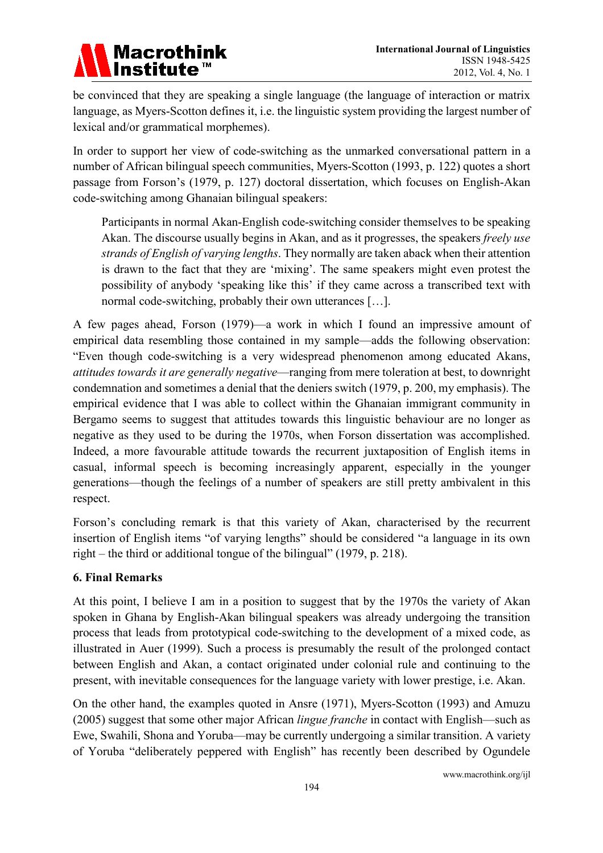# Macrothink<br>Institute™

be convinced that they are speaking a single language (the language of interaction or matrix language, as Myers-Scotton defines it, i.e. the linguistic system providing the largest number of lexical and/or grammatical morphemes).

In order to support her view of code-switching as the unmarked conversational pattern in a number of African bilingual speech communities, Myers-Scotton (1993, p. 122) quotes a short passage from Forson's (1979, p. 127) doctoral dissertation, which focuses on English-Akan code-switching among Ghanaian bilingual speakers:

Participants in normal Akan-English code-switching consider themselves to be speaking Akan. The discourse usually begins in Akan, and as it progresses, the speakers *freely use strands of English of varying lengths*. They normally are taken aback when their attention is drawn to the fact that they are 'mixing'. The same speakers might even protest the possibility of anybody 'speaking like this' if they came across a transcribed text with normal code-switching, probably their own utterances [...].

A few pages ahead, Forson (1979)—a work in which I found an impressive amount of empirical data resembling those contained in my sample—adds the following observation: "Even though code-switching is a very widespread phenomenon among educated Akans, *attitudes towards it are generally negative*—ranging from mere toleration at best, to downright condemnation and sometimes a denial that the deniers switch (1979, p. 200, my emphasis). The empirical evidence that I was able to collect within the Ghanaian immigrant community in Bergamo seems to suggest that attitudes towards this linguistic behaviour are no longer as negative as they used to be during the 1970s, when Forson dissertation was accomplished. Indeed, a more favourable attitude towards the recurrent juxtaposition of English items in casual, informal speech is becoming increasingly apparent, especially in the younger generations—though the feelings of a number of speakers are still pretty ambivalent in this respect.

Forson's concluding remark is that this variety of Akan, characterised by the recurrent insertion of English items "of varying lengths" should be considered "a language in its own right – the third or additional tongue of the bilingual" (1979, p. 218).

#### **6. Final Remarks**

At this point, I believe I am in a position to suggest that by the 1970s the variety of Akan spoken in Ghana by English-Akan bilingual speakers was already undergoing the transition process that leads from prototypical code-switching to the development of a mixed code, as illustrated in Auer (1999). Such a process is presumably the result of the prolonged contact between English and Akan, a contact originated under colonial rule and continuing to the present, with inevitable consequences for the language variety with lower prestige, i.e. Akan.

On the other hand, the examples quoted in Ansre (1971), Myers-Scotton (1993) and Amuzu (2005) suggest that some other major African *lingue franche* in contact with English—such as Ewe, Swahili, Shona and Yoruba—may be currently undergoing a similar transition. A variety of Yoruba "deliberately peppered with English" has recently been described by Ogundele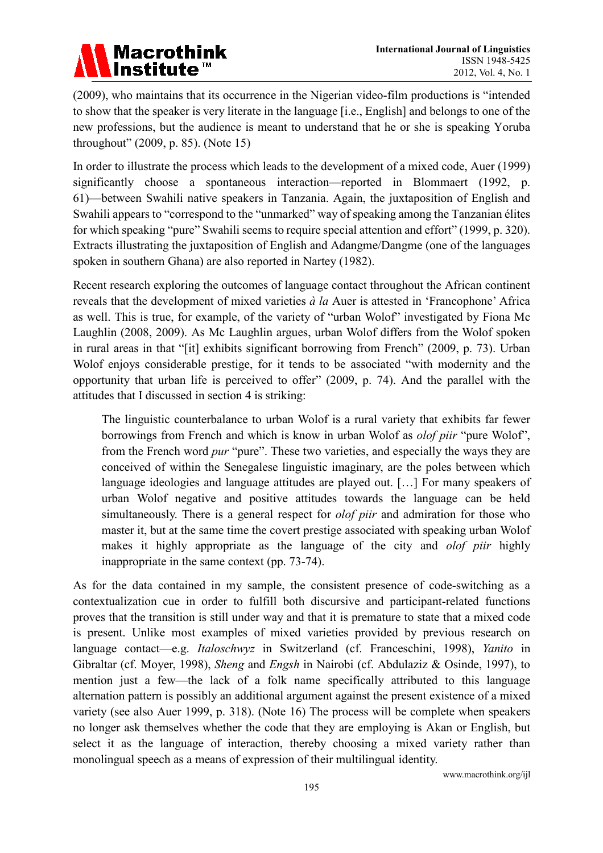

(2009), who maintains that its occurrence in the Nigerian video-film productions is "intended to show that the speaker is very literate in the language [i.e., English] and belongs to one of the new professions, but the audience is meant to understand that he or she is speaking Yoruba throughout" (2009, p. 85). (Note 15)

In order to illustrate the process which leads to the development of a mixed code, Auer (1999) significantly choose a spontaneous interaction—reported in Blommaert (1992, p. 61)—between Swahili native speakers in Tanzania. Again, the juxtaposition of English and Swahili appears to "correspond to the "unmarked" way of speaking among the Tanzanian élites for which speaking "pure" Swahili seems to require special attention and effort" (1999, p. 320). Extracts illustrating the juxtaposition of English and Adangme/Dangme (one of the languages spoken in southern Ghana) are also reported in Nartey (1982).

Recent research exploring the outcomes of language contact throughout the African continent reveals that the development of mixed varieties *à la* Auer is attested in 'Francophone' Africa as well. This is true, for example, of the variety of "urban Wolof" investigated by Fiona Mc Laughlin (2008, 2009). As Mc Laughlin argues, urban Wolof differs from the Wolof spoken in rural areas in that "[it] exhibits significant borrowing from French" (2009, p. 73). Urban Wolof enjoys considerable prestige, for it tends to be associated "with modernity and the opportunity that urban life is perceived to offer" (2009, p. 74). And the parallel with the attitudes that I discussed in section 4 is striking:

The linguistic counterbalance to urban Wolof is a rural variety that exhibits far fewer borrowings from French and which is know in urban Wolof as *olof piir* "pure Wolof", from the French word *pur* "pure". These two varieties, and especially the ways they are conceived of within the Senegalese linguistic imaginary, are the poles between which language ideologies and language attitudes are played out. […] For many speakers of urban Wolof negative and positive attitudes towards the language can be held simultaneously. There is a general respect for *olof piir* and admiration for those who master it, but at the same time the covert prestige associated with speaking urban Wolof makes it highly appropriate as the language of the city and *olof piir* highly inappropriate in the same context (pp. 73-74).

As for the data contained in my sample, the consistent presence of code-switching as a contextualization cue in order to fulfill both discursive and participant-related functions proves that the transition is still under way and that it is premature to state that a mixed code is present. Unlike most examples of mixed varieties provided by previous research on language contact—e.g. *Italoschwyz* in Switzerland (cf. Franceschini, 1998), *Yanito* in Gibraltar (cf. Moyer, 1998), *Sheng* and *Engsh* in Nairobi (cf. Abdulaziz & Osinde, 1997), to mention just a few—the lack of a folk name specifically attributed to this language alternation pattern is possibly an additional argument against the present existence of a mixed variety (see also Auer 1999, p. 318). (Note 16) The process will be complete when speakers no longer ask themselves whether the code that they are employing is Akan or English, but select it as the language of interaction, thereby choosing a mixed variety rather than monolingual speech as a means of expression of their multilingual identity.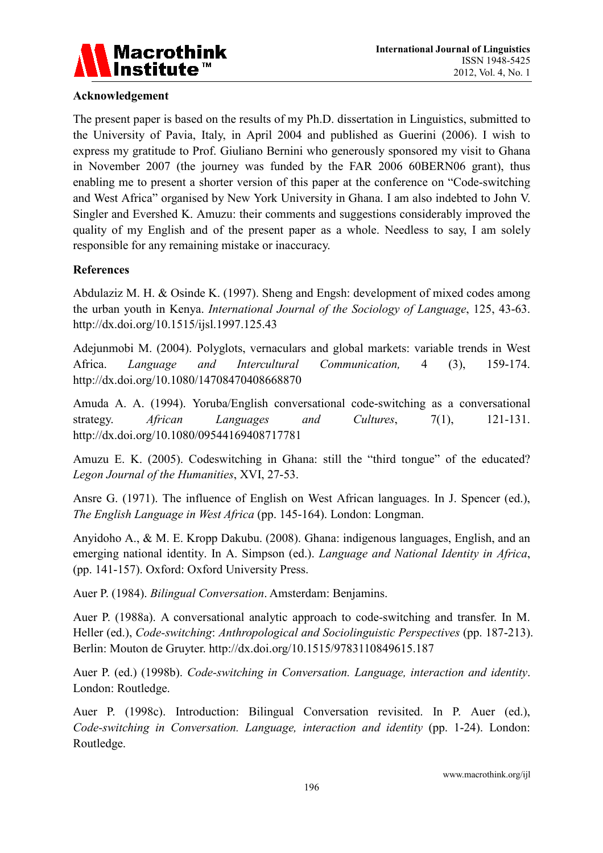

#### **Acknowledgement**

The present paper is based on the results of my Ph.D. dissertation in Linguistics, submitted to the University of Pavia, Italy, in April 2004 and published as Guerini (2006). I wish to express my gratitude to Prof. Giuliano Bernini who generously sponsored my visit to Ghana in November 2007 (the journey was funded by the FAR 2006 60BERN06 grant), thus enabling me to present a shorter version of this paper at the conference on "Code-switching and West Africa" organised by New York University in Ghana. I am also indebted to John V. Singler and Evershed K. Amuzu: their comments and suggestions considerably improved the quality of my English and of the present paper as a whole. Needless to say, I am solely responsible for any remaining mistake or inaccuracy.

#### **References**

Abdulaziz M. H. & Osinde K. (1997). Sheng and Engsh: development of mixed codes among the urban youth in Kenya. *International Journal of the Sociology of Language*, 125, 43-63. http://dx.doi.org/10.1515/ijsl.1997.125.43

Adejunmobi M. (2004). Polyglots, vernaculars and global markets: variable trends in West Africa. *Language and Intercultural Communication,* 4 (3), 159-174. http://dx.doi.org/10.1080/14708470408668870

Amuda A. A. (1994). Yoruba/English conversational code-switching as a conversational strategy. *African Languages and Cultures*, 7(1), 121-131. http://dx.doi.org/10.1080/09544169408717781

Amuzu E. K. (2005). Codeswitching in Ghana: still the "third tongue" of the educated? *Legon Journal of the Humanities*, XVI, 27-53.

Ansre G. (1971). The influence of English on West African languages. In J. Spencer (ed.), *The English Language in West Africa* (pp. 145-164). London: Longman.

Anyidoho A., & M. E. Kropp Dakubu. (2008). Ghana: indigenous languages, English, and an emerging national identity. In A. Simpson (ed.). *Language and National Identity in Africa*, (pp. 141-157). Oxford: Oxford University Press.

Auer P. (1984). *Bilingual Conversation*. Amsterdam: Benjamins.

Auer P. (1988a). A conversational analytic approach to code-switching and transfer. In M. Heller (ed.), *Code-switching*: *Anthropological and Sociolinguistic Perspectives* (pp. 187-213). Berlin: Mouton de Gruyter. http://dx.doi.org/10.1515/9783110849615.187

Auer P. (ed.) (1998b). *Code-switching in Conversation. Language, interaction and identity*. London: Routledge.

Auer P. (1998c). Introduction: Bilingual Conversation revisited. In P. Auer (ed.), *Code-switching in Conversation. Language, interaction and identity* (pp. 1-24). London: Routledge.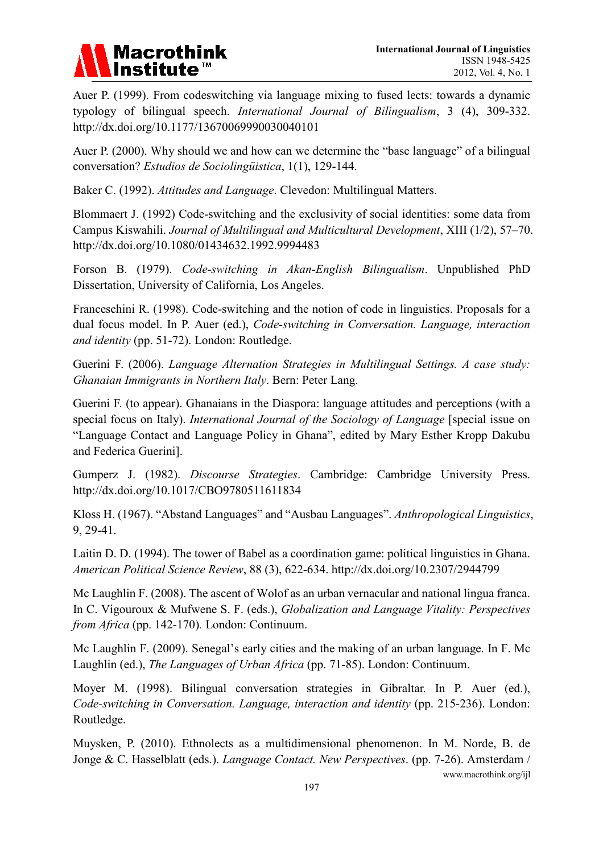

Auer P. (1999). From codeswitching via language mixing to fused lects: towards a dynamic typology of bilingual speech. *International Journal of Bilingualism*, 3 (4), 309-332. http://dx.doi.org/10.1177/13670069990030040101

Auer P. (2000). Why should we and how can we determine the "base language" of a bilingual conversation? *Estudios de Sociolingüistica*, 1(1), 129-144.

Baker C. (1992). *Attitudes and Language*. Clevedon: Multilingual Matters.

Blommaert J. (1992) Code-switching and the exclusivity of social identities: some data from Campus Kiswahili. *Journal of Multilingual and Multicultural Development*, XIII (1/2), 57–70. http://dx.doi.org/10.1080/01434632.1992.9994483

Forson B. (1979). *Code-switching in Akan-English Bilingualism*. Unpublished PhD Dissertation, University of California, Los Angeles.

Franceschini R. (1998). Code-switching and the notion of code in linguistics. Proposals for a dual focus model. In P. Auer (ed.), *Code-switching in Conversation. Language, interaction and identity* (pp. 51-72). London: Routledge.

Guerini F. (2006). *Language Alternation Strategies in Multilingual Settings. A case study: Ghanaian Immigrants in Northern Italy*. Bern: Peter Lang.

Guerini F. (to appear). Ghanaians in the Diaspora: language attitudes and perceptions (with a special focus on Italy). *International Journal of the Sociology of Language* [special issue on "Language Contact and Language Policy in Ghana", edited by Mary Esther Kropp Dakubu and Federica Guerini].

Gumperz J. (1982). *Discourse Strategies*. Cambridge: Cambridge University Press. http://dx.doi.org/10.1017/CBO9780511611834

Kloss H. (1967). "Abstand Languages" and "Ausbau Languages". *Anthropological Linguistics*, 9, 29-41.

Laitin D. D. (1994). The tower of Babel as a coordination game: political linguistics in Ghana. *American Political Science Review*, 88 (3), 622-634. http://dx.doi.org/10.2307/2944799

Mc Laughlin F. (2008). The ascent of Wolof as an urban vernacular and national lingua franca. In C. Vigouroux & Mufwene S. F. (eds.), *Globalization and Language Vitality: Perspectives from Africa* (pp. 142-170)*.* London: Continuum.

Mc Laughlin F. (2009). Senegal's early cities and the making of an urban language. In F. Mc Laughlin (ed.), *The Languages of Urban Africa* (pp. 71-85). London: Continuum.

Moyer M. (1998). Bilingual conversation strategies in Gibraltar. In P. Auer (ed.), *Code-switching in Conversation. Language, interaction and identity* (pp. 215-236). London: Routledge.

www.macrothink.org/ijl Muysken, P. (2010). Ethnolects as a multidimensional phenomenon. In M. Norde, B. de Jonge & C. Hasselblatt (eds.). *Language Contact. New Perspectives*. (pp. 7-26). Amsterdam /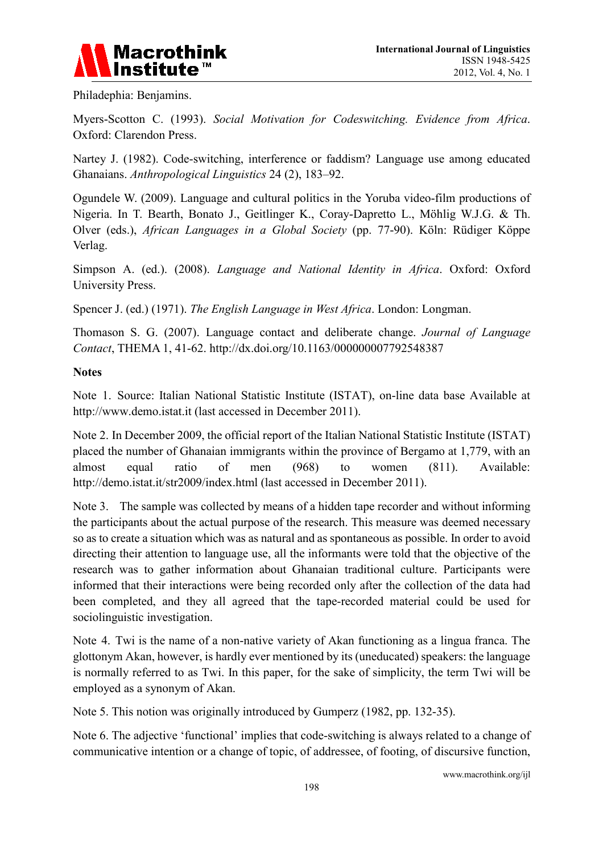

Philadephia: Benjamins.

Myers-Scotton C. (1993). *Social Motivation for Codeswitching. Evidence from Africa*. Oxford: Clarendon Press.

Nartey J. (1982). Code-switching, interference or faddism? Language use among educated Ghanaians. *Anthropological Linguistics* 24 (2), 183–92.

Ogundele W. (2009). Language and cultural politics in the Yoruba video-film productions of Nigeria. In T. Bearth, Bonato J., Geitlinger K., Coray-Dapretto L., Möhlig W.J.G. & Th. Olver (eds.), *African Languages in a Global Society* (pp. 77-90). Köln: Rüdiger Köppe Verlag.

Simpson A. (ed.). (2008). *Language and National Identity in Africa*. Oxford: Oxford University Press.

Spencer J. (ed.) (1971). *The English Language in West Africa*. London: Longman.

Thomason S. G. (2007). Language contact and deliberate change. *Journal of Language Contact*, THEMA 1, 41-62. http://dx.doi.org/10.1163/000000007792548387

#### **Notes**

Note 1. Source: Italian National Statistic Institute (ISTAT), on-line data base Available at http://www.demo.istat.it (last accessed in December 2011).

Note 2. In December 2009, the official report of the Italian National Statistic Institute (ISTAT) placed the number of Ghanaian immigrants within the province of Bergamo at 1,779, with an almost equal ratio of men (968) to women (811). Available: http://demo.istat.it/str2009/index.html (last accessed in December 2011).

Note 3. The sample was collected by means of a hidden tape recorder and without informing the participants about the actual purpose of the research. This measure was deemed necessary so as to create a situation which was as natural and as spontaneous as possible. In order to avoid directing their attention to language use, all the informants were told that the objective of the research was to gather information about Ghanaian traditional culture. Participants were informed that their interactions were being recorded only after the collection of the data had been completed, and they all agreed that the tape-recorded material could be used for sociolinguistic investigation.

Note 4. Twi is the name of a non-native variety of Akan functioning as a lingua franca. The glottonym Akan, however, is hardly ever mentioned by its (uneducated) speakers: the language is normally referred to as Twi. In this paper, for the sake of simplicity, the term Twi will be employed as a synonym of Akan.

Note 5. This notion was originally introduced by Gumperz (1982, pp. 132-35).

Note 6. The adjective 'functional' implies that code-switching is always related to a change of communicative intention or a change of topic, of addressee, of footing, of discursive function,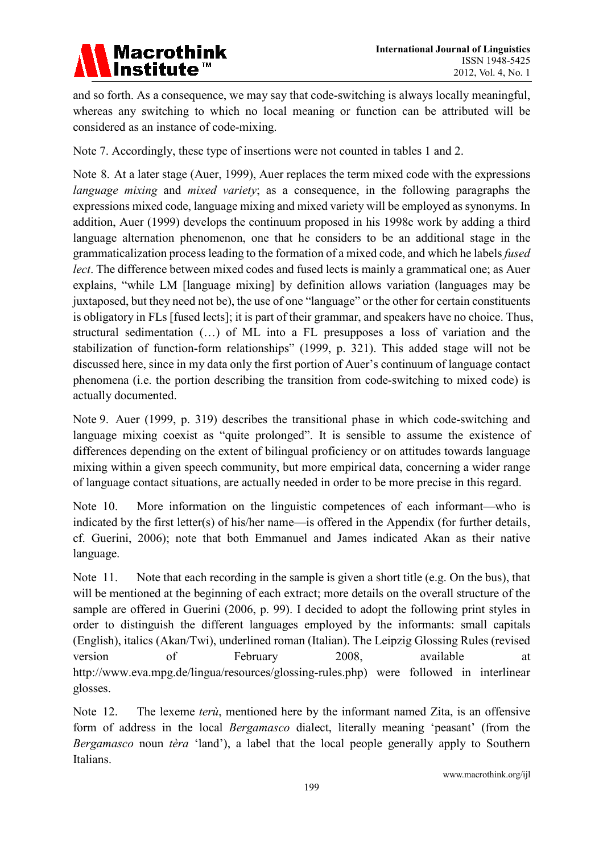

and so forth. As a consequence, we may say that code-switching is always locally meaningful, whereas any switching to which no local meaning or function can be attributed will be considered as an instance of code-mixing.

Note 7. Accordingly, these type of insertions were not counted in tables 1 and 2.

Note 8. At a later stage (Auer, 1999), Auer replaces the term mixed code with the expressions *language mixing* and *mixed variety*; as a consequence, in the following paragraphs the expressions mixed code, language mixing and mixed variety will be employed as synonyms. In addition, Auer (1999) develops the continuum proposed in his 1998c work by adding a third language alternation phenomenon, one that he considers to be an additional stage in the grammaticalization process leading to the formation of a mixed code, and which he labels *fused lect*. The difference between mixed codes and fused lects is mainly a grammatical one; as Auer explains, "while LM [language mixing] by definition allows variation (languages may be juxtaposed, but they need not be), the use of one "language" or the other for certain constituents is obligatory in FLs [fused lects]; it is part of their grammar, and speakers have no choice. Thus, structural sedimentation (…) of ML into a FL presupposes a loss of variation and the stabilization of function-form relationships" (1999, p. 321). This added stage will not be discussed here, since in my data only the first portion of Auer's continuum of language contact phenomena (i.e. the portion describing the transition from code-switching to mixed code) is actually documented.

Note 9. Auer (1999, p. 319) describes the transitional phase in which code-switching and language mixing coexist as "quite prolonged". It is sensible to assume the existence of differences depending on the extent of bilingual proficiency or on attitudes towards language mixing within a given speech community, but more empirical data, concerning a wider range of language contact situations, are actually needed in order to be more precise in this regard.

Note 10. More information on the linguistic competences of each informant—who is indicated by the first letter(s) of his/her name—is offered in the Appendix (for further details, cf. Guerini, 2006); note that both Emmanuel and James indicated Akan as their native language.

Note 11. Note that each recording in the sample is given a short title (e.g. On the bus), that will be mentioned at the beginning of each extract; more details on the overall structure of the sample are offered in Guerini (2006, p. 99). I decided to adopt the following print styles in order to distinguish the different languages employed by the informants: small capitals (English), italics (Akan/Twi), underlined roman (Italian). The Leipzig Glossing Rules (revised version of February 2008, available at http://www.eva.mpg.de/lingua/resources/glossing-rules.php) were followed in interlinear glosses.

Note 12. The lexeme *terù*, mentioned here by the informant named Zita, is an offensive form of address in the local *Bergamasco* dialect, literally meaning 'peasant' (from the *Bergamasco* noun *tèra* 'land'), a label that the local people generally apply to Southern Italians.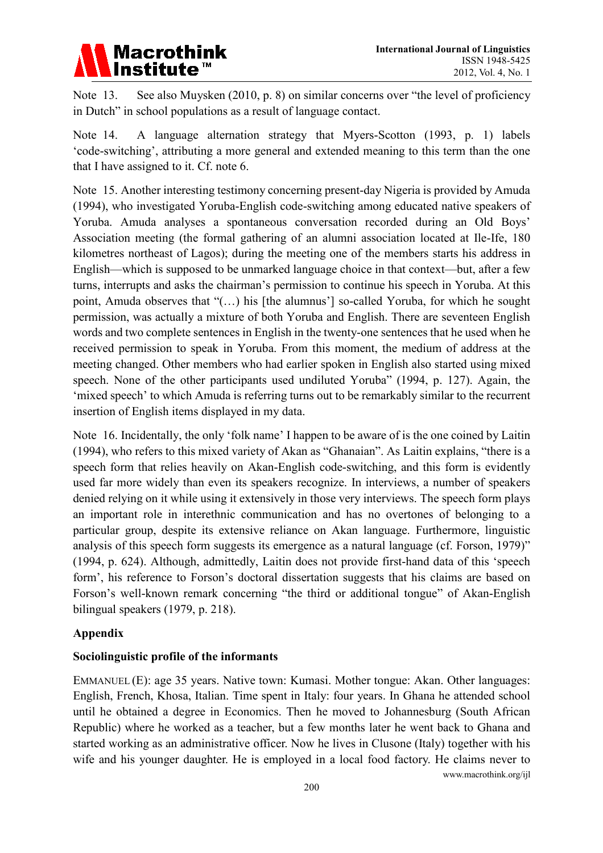## **Macrothink** <u>Institute™</u>

Note 13. See also Muysken (2010, p. 8) on similar concerns over "the level of proficiency in Dutch" in school populations as a result of language contact.

Note 14. A language alternation strategy that Myers-Scotton (1993, p. 1) labels 'code-switching', attributing a more general and extended meaning to this term than the one that I have assigned to it. Cf. note 6.

Note 15. Another interesting testimony concerning present-day Nigeria is provided by Amuda (1994), who investigated Yoruba-English code-switching among educated native speakers of Yoruba. Amuda analyses a spontaneous conversation recorded during an Old Boys' Association meeting (the formal gathering of an alumni association located at Ile-Ife, 180 kilometres northeast of Lagos); during the meeting one of the members starts his address in English—which is supposed to be unmarked language choice in that context—but, after a few turns, interrupts and asks the chairman's permission to continue his speech in Yoruba. At this point, Amuda observes that "(…) his [the alumnus'] so-called Yoruba, for which he sought permission, was actually a mixture of both Yoruba and English. There are seventeen English words and two complete sentences in English in the twenty-one sentences that he used when he received permission to speak in Yoruba. From this moment, the medium of address at the meeting changed. Other members who had earlier spoken in English also started using mixed speech. None of the other participants used undiluted Yoruba" (1994, p. 127). Again, the 'mixed speech' to which Amuda is referring turns out to be remarkably similar to the recurrent insertion of English items displayed in my data.

Note 16. Incidentally, the only 'folk name' I happen to be aware of is the one coined by Laitin (1994), who refers to this mixed variety of Akan as "Ghanaian". As Laitin explains, "there is a speech form that relies heavily on Akan-English code-switching, and this form is evidently used far more widely than even its speakers recognize. In interviews, a number of speakers denied relying on it while using it extensively in those very interviews. The speech form plays an important role in interethnic communication and has no overtones of belonging to a particular group, despite its extensive reliance on Akan language. Furthermore, linguistic analysis of this speech form suggests its emergence as a natural language (cf. Forson, 1979)" (1994, p. 624). Although, admittedly, Laitin does not provide first-hand data of this 'speech form', his reference to Forson's doctoral dissertation suggests that his claims are based on Forson's well-known remark concerning "the third or additional tongue" of Akan-English bilingual speakers (1979, p. 218).

#### **Appendix**

#### **Sociolinguistic profile of the informants**

EMMANUEL (E): age 35 years. Native town: Kumasi. Mother tongue: Akan. Other languages: English, French, Khosa, Italian. Time spent in Italy: four years. In Ghana he attended school until he obtained a degree in Economics. Then he moved to Johannesburg (South African Republic) where he worked as a teacher, but a few months later he went back to Ghana and started working as an administrative officer. Now he lives in Clusone (Italy) together with his wife and his younger daughter. He is employed in a local food factory. He claims never to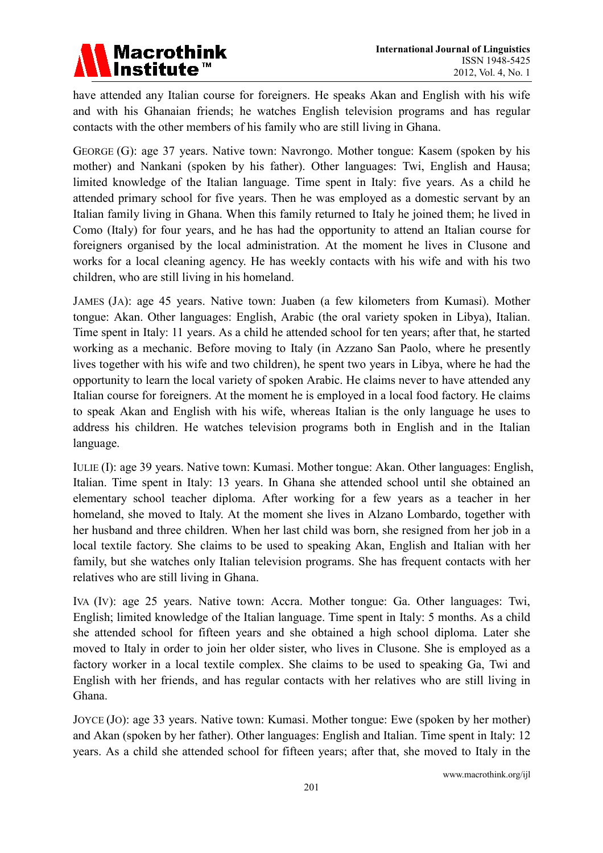

have attended any Italian course for foreigners. He speaks Akan and English with his wife and with his Ghanaian friends; he watches English television programs and has regular contacts with the other members of his family who are still living in Ghana.

GEORGE (G): age 37 years. Native town: Navrongo. Mother tongue: Kasem (spoken by his mother) and Nankani (spoken by his father). Other languages: Twi, English and Hausa; limited knowledge of the Italian language. Time spent in Italy: five years. As a child he attended primary school for five years. Then he was employed as a domestic servant by an Italian family living in Ghana. When this family returned to Italy he joined them; he lived in Como (Italy) for four years, and he has had the opportunity to attend an Italian course for foreigners organised by the local administration. At the moment he lives in Clusone and works for a local cleaning agency. He has weekly contacts with his wife and with his two children, who are still living in his homeland.

JAMES (JA): age 45 years. Native town: Juaben (a few kilometers from Kumasi). Mother tongue: Akan. Other languages: English, Arabic (the oral variety spoken in Libya), Italian. Time spent in Italy: 11 years. As a child he attended school for ten years; after that, he started working as a mechanic. Before moving to Italy (in Azzano San Paolo, where he presently lives together with his wife and two children), he spent two years in Libya, where he had the opportunity to learn the local variety of spoken Arabic. He claims never to have attended any Italian course for foreigners. At the moment he is employed in a local food factory. He claims to speak Akan and English with his wife, whereas Italian is the only language he uses to address his children. He watches television programs both in English and in the Italian language.

IULIE (I): age 39 years. Native town: Kumasi. Mother tongue: Akan. Other languages: English, Italian. Time spent in Italy: 13 years. In Ghana she attended school until she obtained an elementary school teacher diploma. After working for a few years as a teacher in her homeland, she moved to Italy. At the moment she lives in Alzano Lombardo, together with her husband and three children. When her last child was born, she resigned from her job in a local textile factory. She claims to be used to speaking Akan, English and Italian with her family, but she watches only Italian television programs. She has frequent contacts with her relatives who are still living in Ghana.

IVA (IV): age 25 years. Native town: Accra. Mother tongue: Ga. Other languages: Twi, English; limited knowledge of the Italian language. Time spent in Italy: 5 months. As a child she attended school for fifteen years and she obtained a high school diploma. Later she moved to Italy in order to join her older sister, who lives in Clusone. She is employed as a factory worker in a local textile complex. She claims to be used to speaking Ga, Twi and English with her friends, and has regular contacts with her relatives who are still living in Ghana.

JOYCE (JO): age 33 years. Native town: Kumasi. Mother tongue: Ewe (spoken by her mother) and Akan (spoken by her father). Other languages: English and Italian. Time spent in Italy: 12 years. As a child she attended school for fifteen years; after that, she moved to Italy in the